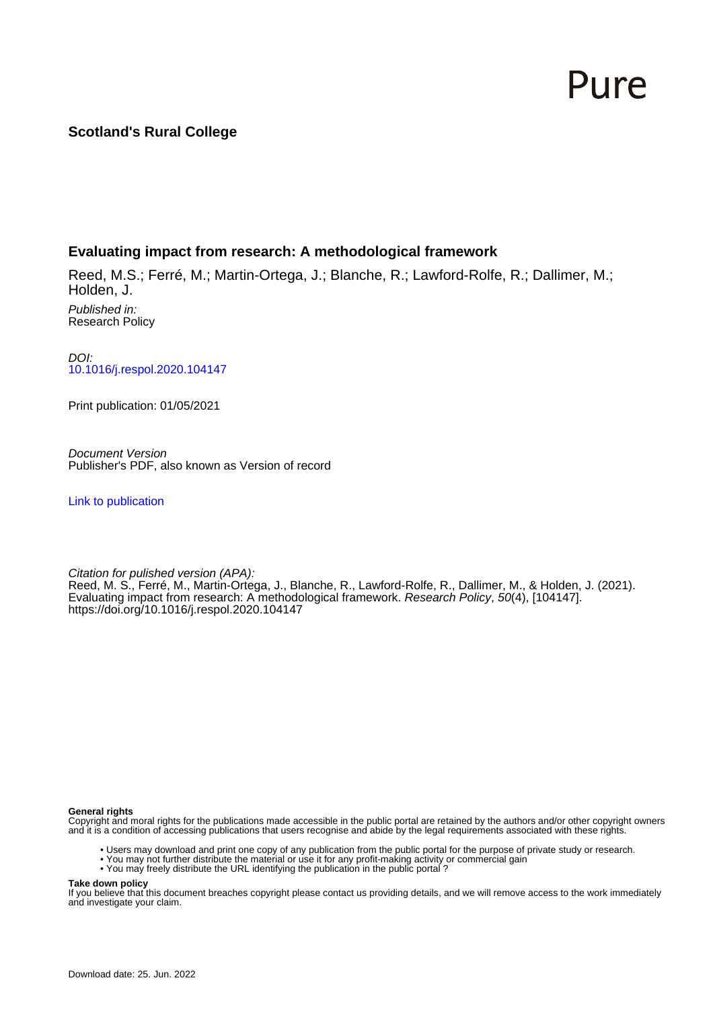# Pure

## **Scotland's Rural College**

## **Evaluating impact from research: A methodological framework**

Reed, M.S.; Ferré, M.; Martin-Ortega, J.; Blanche, R.; Lawford-Rolfe, R.; Dallimer, M.; Holden, J.

Published in: Research Policy

DOI: [10.1016/j.respol.2020.104147](https://doi.org/10.1016/j.respol.2020.104147)

Print publication: 01/05/2021

Document Version Publisher's PDF, also known as Version of record

[Link to publication](https://pure.sruc.ac.uk/en/publications/69a829df-4015-4291-a25e-669af573fa26)

Citation for pulished version (APA): Reed, M. S., Ferré, M., Martin-Ortega, J., Blanche, R., Lawford-Rolfe, R., Dallimer, M., & Holden, J. (2021). Evaluating impact from research: A methodological framework. Research Policy, 50(4), [104147]. <https://doi.org/10.1016/j.respol.2020.104147>

#### **General rights**

Copyright and moral rights for the publications made accessible in the public portal are retained by the authors and/or other copyright owners and it is a condition of accessing publications that users recognise and abide by the legal requirements associated with these rights.

- Users may download and print one copy of any publication from the public portal for the purpose of private study or research.
- You may not further distribute the material or use it for any profit-making activity or commercial gain
- You may freely distribute the URL identifying the publication in the public portal ?

### **Take down policy**

If you believe that this document breaches copyright please contact us providing details, and we will remove access to the work immediately and investigate your claim.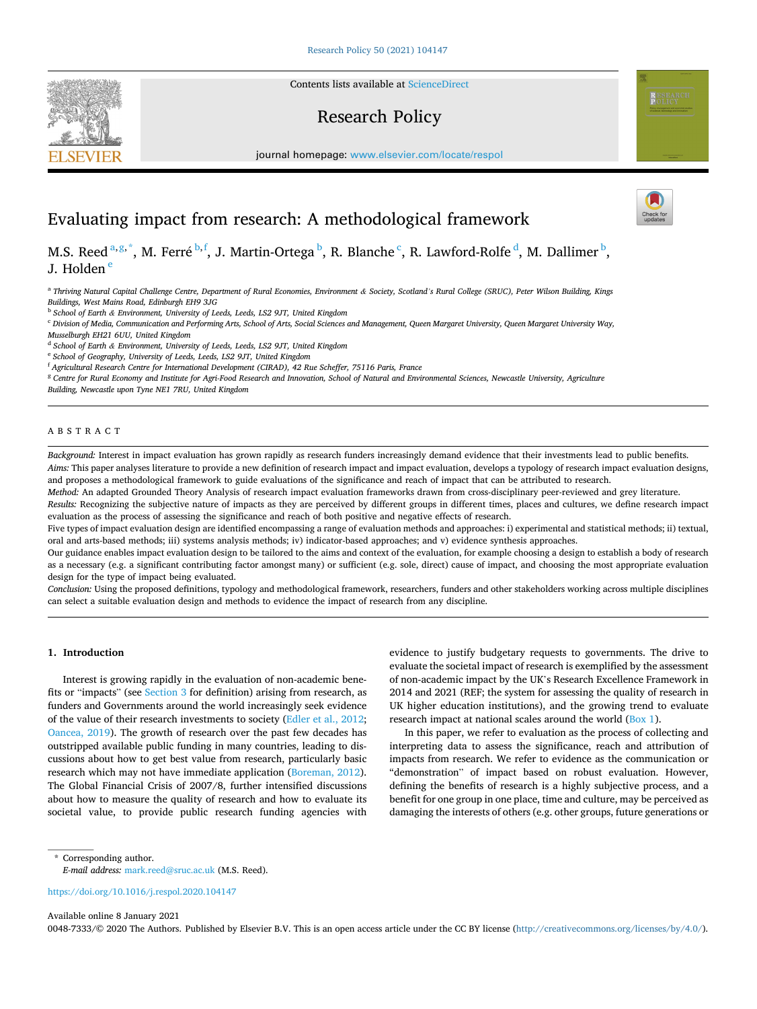

Contents lists available at [ScienceDirect](www.sciencedirect.com/science/journal/00487333)

## Research Policy



## Evaluating impact from research: A methodological framework

M.S. Reed <sup>a,g,\*</sup>, M. Ferré <sup>b,f</sup>, J. Martin-Ortega <sup>b</sup>, R. Blanche <sup>c</sup>, R. Lawford-Rolfe <sup>d</sup>, M. Dallimer <sup>b</sup>, J. Holden<sup>e</sup>

<sup>a</sup> Thriving Natural Capital Challenge Centre, Department of Rural Economies, Environment & Society, Scotland's Rural College (SRUC), Peter Wilson Building, Kings *Buildings, West Mains Road, Edinburgh EH9 3JG* 

<sup>b</sup> *School of Earth & Environment, University of Leeds, Leeds, LS2 9JT, United Kingdom* 

<sup>c</sup> *Division of Media, Communication and Performing Arts, School of Arts, Social Sciences and Management, Queen Margaret University, Queen Margaret University Way,* 

*Musselburgh EH21 6UU, United Kingdom* 

<sup>d</sup> *School of Earth & Environment, University of Leeds, Leeds, LS2 9JT, United Kingdom* 

<sup>e</sup> *School of Geography, University of Leeds, Leeds, LS2 9JT, United Kingdom* 

<sup>f</sup> *Agricultural Research Centre for International Development (CIRAD), 42 Rue Scheffer, 75116 Paris, France* 

<sup>g</sup> *Centre for Rural Economy and Institute for Agri-Food Research and Innovation, School of Natural and Environmental Sciences, Newcastle University, Agriculture* 

*Building, Newcastle upon Tyne NE1 7RU, United Kingdom* 

#### ABSTRACT

*Background:* Interest in impact evaluation has grown rapidly as research funders increasingly demand evidence that their investments lead to public benefits. *Aims:* This paper analyses literature to provide a new definition of research impact and impact evaluation, develops a typology of research impact evaluation designs,

and proposes a methodological framework to guide evaluations of the significance and reach of impact that can be attributed to research.

*Method:* An adapted Grounded Theory Analysis of research impact evaluation frameworks drawn from cross-disciplinary peer-reviewed and grey literature.

*Results:* Recognizing the subjective nature of impacts as they are perceived by different groups in different times, places and cultures, we define research impact evaluation as the process of assessing the significance and reach of both positive and negative effects of research.

Five types of impact evaluation design are identified encompassing a range of evaluation methods and approaches: i) experimental and statistical methods; ii) textual, oral and arts-based methods; iii) systems analysis methods; iv) indicator-based approaches; and v) evidence synthesis approaches.

Our guidance enables impact evaluation design to be tailored to the aims and context of the evaluation, for example choosing a design to establish a body of research as a necessary (e.g. a significant contributing factor amongst many) or sufficient (e.g. sole, direct) cause of impact, and choosing the most appropriate evaluation design for the type of impact being evaluated.

*Conclusion:* Using the proposed definitions, typology and methodological framework, researchers, funders and other stakeholders working across multiple disciplines can select a suitable evaluation design and methods to evidence the impact of research from any discipline.

#### **1. Introduction**

Interest is growing rapidly in the evaluation of non-academic benefits or "impacts" (see [Section 3](#page-3-0) for definition) arising from research, as funders and Governments around the world increasingly seek evidence of the value of their research investments to society [\(Edler et al., 2012](#page-13-0); [Oancea, 2019\)](#page-14-0). The growth of research over the past few decades has outstripped available public funding in many countries, leading to discussions about how to get best value from research, particularly basic research which may not have immediate application [\(Boreman, 2012](#page-12-0)). The Global Financial Crisis of 2007/8, further intensified discussions about how to measure the quality of research and how to evaluate its societal value, to provide public research funding agencies with evidence to justify budgetary requests to governments. The drive to evaluate the societal impact of research is exemplified by the assessment of non-academic impact by the UK's Research Excellence Framework in 2014 and 2021 (REF; the system for assessing the quality of research in UK higher education institutions), and the growing trend to evaluate research impact at national scales around the world [\(Box 1](#page-7-0)).

In this paper, we refer to evaluation as the process of collecting and interpreting data to assess the significance, reach and attribution of impacts from research. We refer to evidence as the communication or "demonstration" of impact based on robust evaluation. However, defining the benefits of research is a highly subjective process, and a benefit for one group in one place, time and culture, may be perceived as damaging the interests of others (e.g. other groups, future generations or

<https://doi.org/10.1016/j.respol.2020.104147>

Available online 8 January 2021

0048-7333/© 2020 The Authors. Published by Elsevier B.V. This is an open access article under the CC BY license [\(http://creativecommons.org/licenses/by/4.0/\)](http://creativecommons.org/licenses/by/4.0/).



<sup>\*</sup> Corresponding author. *E-mail address:* [mark.reed@sruc.ac.uk](mailto:mark.reed@sruc.ac.uk) (M.S. Reed).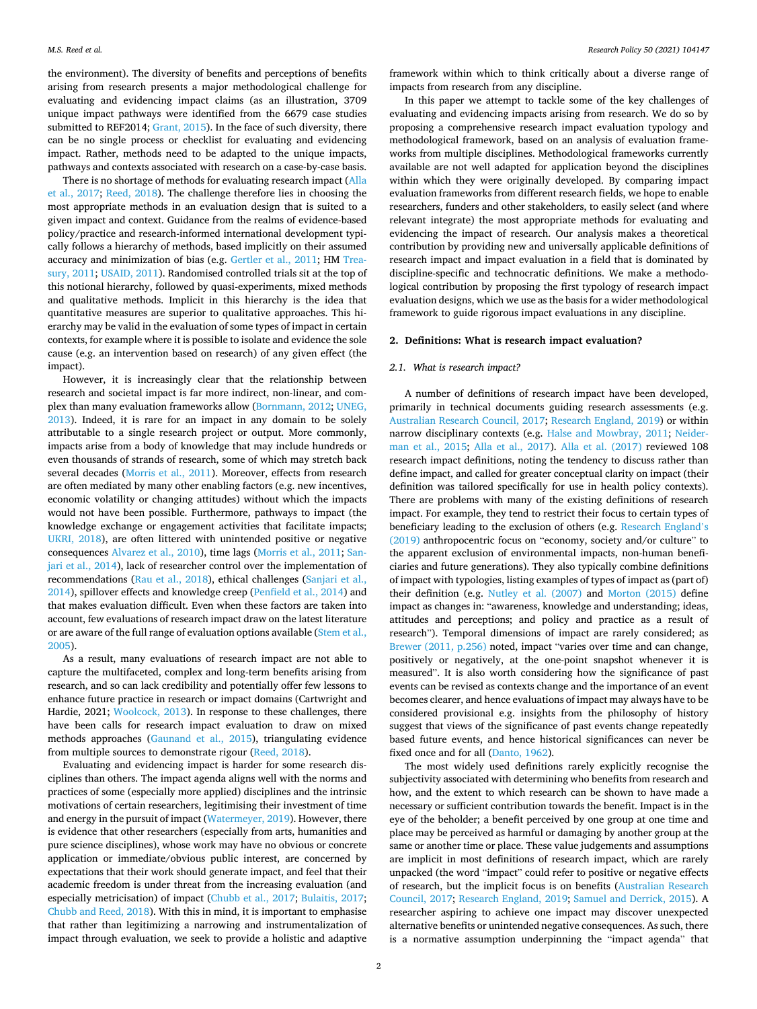<span id="page-2-0"></span>the environment). The diversity of benefits and perceptions of benefits arising from research presents a major methodological challenge for evaluating and evidencing impact claims (as an illustration, 3709 unique impact pathways were identified from the 6679 case studies submitted to REF2014; [Grant, 2015](#page-13-0)). In the face of such diversity, there can be no single process or checklist for evaluating and evidencing impact. Rather, methods need to be adapted to the unique impacts, pathways and contexts associated with research on a case-by-case basis.

There is no shortage of methods for evaluating research impact ([Alla](#page-12-0)  [et al., 2017;](#page-12-0) [Reed, 2018\)](#page-14-0). The challenge therefore lies in choosing the most appropriate methods in an evaluation design that is suited to a given impact and context. Guidance from the realms of evidence-based policy/practice and research-informed international development typically follows a hierarchy of methods, based implicitly on their assumed accuracy and minimization of bias (e.g. [Gertler et al., 2011;](#page-13-0) HM [Trea](#page-13-0)[sury, 2011;](#page-13-0) [USAID, 2011\)](#page-14-0). Randomised controlled trials sit at the top of this notional hierarchy, followed by quasi-experiments, mixed methods and qualitative methods. Implicit in this hierarchy is the idea that quantitative measures are superior to qualitative approaches. This hierarchy may be valid in the evaluation of some types of impact in certain contexts, for example where it is possible to isolate and evidence the sole cause (e.g. an intervention based on research) of any given effect (the impact).

However, it is increasingly clear that the relationship between research and societal impact is far more indirect, non-linear, and complex than many evaluation frameworks allow ([Bornmann, 2012;](#page-12-0) [UNEG,](#page-14-0)  [2013\)](#page-14-0). Indeed, it is rare for an impact in any domain to be solely attributable to a single research project or output. More commonly, impacts arise from a body of knowledge that may include hundreds or even thousands of strands of research, some of which may stretch back several decades [\(Morris et al., 2011](#page-13-0)). Moreover, effects from research are often mediated by many other enabling factors (e.g. new incentives, economic volatility or changing attitudes) without which the impacts would not have been possible. Furthermore, pathways to impact (the knowledge exchange or engagement activities that facilitate impacts; [UKRI, 2018\)](#page-14-0), are often littered with unintended positive or negative consequences [Alvarez et al., 2010](#page-12-0)), time lags ([Morris et al., 2011;](#page-13-0) [San](#page-14-0)[jari et al., 2014](#page-14-0)), lack of researcher control over the implementation of recommendations [\(Rau et al., 2018\)](#page-14-0), ethical challenges ([Sanjari et al.,](#page-14-0)  [2014\)](#page-14-0), spillover effects and knowledge creep ([Penfield et al., 2014](#page-14-0)) and that makes evaluation difficult. Even when these factors are taken into account, few evaluations of research impact draw on the latest literature or are aware of the full range of evaluation options available [\(Stem et al.,](#page-14-0)  [2005\)](#page-14-0).

As a result, many evaluations of research impact are not able to capture the multifaceted, complex and long-term benefits arising from research, and so can lack credibility and potentially offer few lessons to enhance future practice in research or impact domains (Cartwright and Hardie, 2021; [Woolcock, 2013\)](#page-14-0). In response to these challenges, there have been calls for research impact evaluation to draw on mixed methods approaches ([Gaunand et al., 2015](#page-13-0)), triangulating evidence from multiple sources to demonstrate rigour ([Reed, 2018\)](#page-14-0).

Evaluating and evidencing impact is harder for some research disciplines than others. The impact agenda aligns well with the norms and practices of some (especially more applied) disciplines and the intrinsic motivations of certain researchers, legitimising their investment of time and energy in the pursuit of impact [\(Watermeyer, 2019](#page-14-0)). However, there is evidence that other researchers (especially from arts, humanities and pure science disciplines), whose work may have no obvious or concrete application or immediate/obvious public interest, are concerned by expectations that their work should generate impact, and feel that their academic freedom is under threat from the increasing evaluation (and especially metricisation) of impact ([Chubb et al., 2017](#page-13-0); [Bulaitis, 2017](#page-13-0); [Chubb and Reed, 2018\)](#page-13-0). With this in mind, it is important to emphasise that rather than legitimizing a narrowing and instrumentalization of impact through evaluation, we seek to provide a holistic and adaptive

framework within which to think critically about a diverse range of impacts from research from any discipline.

In this paper we attempt to tackle some of the key challenges of evaluating and evidencing impacts arising from research. We do so by proposing a comprehensive research impact evaluation typology and methodological framework, based on an analysis of evaluation frameworks from multiple disciplines. Methodological frameworks currently available are not well adapted for application beyond the disciplines within which they were originally developed. By comparing impact evaluation frameworks from different research fields, we hope to enable researchers, funders and other stakeholders, to easily select (and where relevant integrate) the most appropriate methods for evaluating and evidencing the impact of research. Our analysis makes a theoretical contribution by providing new and universally applicable definitions of research impact and impact evaluation in a field that is dominated by discipline-specific and technocratic definitions. We make a methodological contribution by proposing the first typology of research impact evaluation designs, which we use as the basis for a wider methodological framework to guide rigorous impact evaluations in any discipline.

#### **2. Definitions: What is research impact evaluation?**

#### *2.1. What is research impact?*

A number of definitions of research impact have been developed, primarily in technical documents guiding research assessments (e.g. [Australian Research Council, 2017](#page-12-0); [Research England, 2019](#page-14-0)) or within narrow disciplinary contexts (e.g. [Halse and Mowbray, 2011](#page-13-0); [Neider](#page-14-0)[man et al., 2015;](#page-14-0) [Alla et al., 2017\)](#page-12-0). [Alla et al. \(2017\)](#page-12-0) reviewed 108 research impact definitions, noting the tendency to discuss rather than define impact, and called for greater conceptual clarity on impact (their definition was tailored specifically for use in health policy contexts). There are problems with many of the existing definitions of research impact. For example, they tend to restrict their focus to certain types of beneficiary leading to the exclusion of others (e.g. [Research England](#page-14-0)'s [\(2019\)](#page-14-0) anthropocentric focus on "economy, society and/or culture" to the apparent exclusion of environmental impacts, non-human beneficiaries and future generations). They also typically combine definitions of impact with typologies, listing examples of types of impact as (part of) their definition (e.g. [Nutley et al. \(2007\)](#page-14-0) and [Morton \(2015\)](#page-13-0) define impact as changes in: "awareness, knowledge and understanding; ideas, attitudes and perceptions; and policy and practice as a result of research"). Temporal dimensions of impact are rarely considered; as [Brewer \(2011, p.256\)](#page-13-0) noted, impact "varies over time and can change, positively or negatively, at the one-point snapshot whenever it is measured". It is also worth considering how the significance of past events can be revised as contexts change and the importance of an event becomes clearer, and hence evaluations of impact may always have to be considered provisional e.g. insights from the philosophy of history suggest that views of the significance of past events change repeatedly based future events, and hence historical significances can never be fixed once and for all [\(Danto, 1962](#page-13-0)).

The most widely used definitions rarely explicitly recognise the subjectivity associated with determining who benefits from research and how, and the extent to which research can be shown to have made a necessary or sufficient contribution towards the benefit. Impact is in the eye of the beholder; a benefit perceived by one group at one time and place may be perceived as harmful or damaging by another group at the same or another time or place. These value judgements and assumptions are implicit in most definitions of research impact, which are rarely unpacked (the word "impact" could refer to positive or negative effects of research, but the implicit focus is on benefits ([Australian Research](#page-12-0)  [Council, 2017](#page-12-0); [Research England, 2019;](#page-14-0) [Samuel and Derrick, 2015](#page-14-0)). A researcher aspiring to achieve one impact may discover unexpected alternative benefits or unintended negative consequences. As such, there is a normative assumption underpinning the "impact agenda" that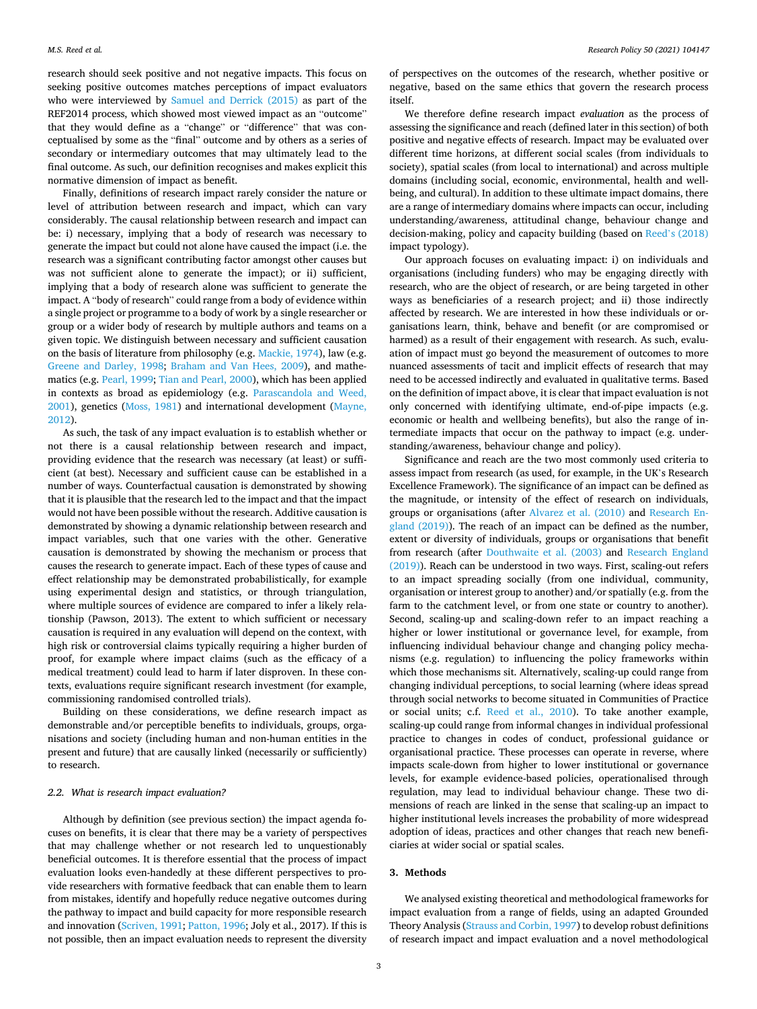<span id="page-3-0"></span>research should seek positive and not negative impacts. This focus on seeking positive outcomes matches perceptions of impact evaluators who were interviewed by [Samuel and Derrick \(2015\)](#page-14-0) as part of the REF2014 process, which showed most viewed impact as an "outcome" that they would define as a "change" or "difference" that was conceptualised by some as the "final" outcome and by others as a series of secondary or intermediary outcomes that may ultimately lead to the final outcome. As such, our definition recognises and makes explicit this normative dimension of impact as benefit.

Finally, definitions of research impact rarely consider the nature or level of attribution between research and impact, which can vary considerably. The causal relationship between research and impact can be: i) necessary, implying that a body of research was necessary to generate the impact but could not alone have caused the impact (i.e. the research was a significant contributing factor amongst other causes but was not sufficient alone to generate the impact); or ii) sufficient, implying that a body of research alone was sufficient to generate the impact. A "body of research" could range from a body of evidence within a single project or programme to a body of work by a single researcher or group or a wider body of research by multiple authors and teams on a given topic. We distinguish between necessary and sufficient causation on the basis of literature from philosophy (e.g. [Mackie, 1974\)](#page-13-0), law (e.g. [Greene and Darley, 1998;](#page-13-0) [Braham and Van Hees, 2009](#page-13-0)), and mathematics (e.g. [Pearl, 1999; Tian and Pearl, 2000\)](#page-14-0), which has been applied in contexts as broad as epidemiology (e.g. [Parascandola and Weed,](#page-14-0)  [2001\)](#page-14-0), genetics ([Moss, 1981\)](#page-13-0) and international development ([Mayne,](#page-13-0)  [2012\)](#page-13-0).

As such, the task of any impact evaluation is to establish whether or not there is a causal relationship between research and impact, providing evidence that the research was necessary (at least) or sufficient (at best). Necessary and sufficient cause can be established in a number of ways. Counterfactual causation is demonstrated by showing that it is plausible that the research led to the impact and that the impact would not have been possible without the research. Additive causation is demonstrated by showing a dynamic relationship between research and impact variables, such that one varies with the other. Generative causation is demonstrated by showing the mechanism or process that causes the research to generate impact. Each of these types of cause and effect relationship may be demonstrated probabilistically, for example using experimental design and statistics, or through triangulation, where multiple sources of evidence are compared to infer a likely relationship (Pawson, 2013). The extent to which sufficient or necessary causation is required in any evaluation will depend on the context, with high risk or controversial claims typically requiring a higher burden of proof, for example where impact claims (such as the efficacy of a medical treatment) could lead to harm if later disproven. In these contexts, evaluations require significant research investment (for example, commissioning randomised controlled trials).

Building on these considerations, we define research impact as demonstrable and/or perceptible benefits to individuals, groups, organisations and society (including human and non-human entities in the present and future) that are causally linked (necessarily or sufficiently) to research.

#### *2.2. What is research impact evaluation?*

Although by definition (see previous section) the impact agenda focuses on benefits, it is clear that there may be a variety of perspectives that may challenge whether or not research led to unquestionably beneficial outcomes. It is therefore essential that the process of impact evaluation looks even-handedly at these different perspectives to provide researchers with formative feedback that can enable them to learn from mistakes, identify and hopefully reduce negative outcomes during the pathway to impact and build capacity for more responsible research and innovation ([Scriven, 1991; Patton, 1996](#page-14-0); Joly et al., 2017). If this is not possible, then an impact evaluation needs to represent the diversity

of perspectives on the outcomes of the research, whether positive or negative, based on the same ethics that govern the research process itself.

We therefore define research impact *evaluation* as the process of assessing the significance and reach (defined later in this section) of both positive and negative effects of research. Impact may be evaluated over different time horizons, at different social scales (from individuals to society), spatial scales (from local to international) and across multiple domains (including social, economic, environmental, health and wellbeing, and cultural). In addition to these ultimate impact domains, there are a range of intermediary domains where impacts can occur, including understanding/awareness, attitudinal change, behaviour change and decision-making, policy and capacity building (based on Reed'[s \(2018\)](#page-14-0)  impact typology).

Our approach focuses on evaluating impact: i) on individuals and organisations (including funders) who may be engaging directly with research, who are the object of research, or are being targeted in other ways as beneficiaries of a research project; and ii) those indirectly affected by research. We are interested in how these individuals or organisations learn, think, behave and benefit (or are compromised or harmed) as a result of their engagement with research. As such, evaluation of impact must go beyond the measurement of outcomes to more nuanced assessments of tacit and implicit effects of research that may need to be accessed indirectly and evaluated in qualitative terms. Based on the definition of impact above, it is clear that impact evaluation is not only concerned with identifying ultimate, end-of-pipe impacts (e.g. economic or health and wellbeing benefits), but also the range of intermediate impacts that occur on the pathway to impact (e.g. understanding/awareness, behaviour change and policy).

Significance and reach are the two most commonly used criteria to assess impact from research (as used, for example, in the UK's Research Excellence Framework). The significance of an impact can be defined as the magnitude, or intensity of the effect of research on individuals, groups or organisations (after [Alvarez et al. \(2010\)](#page-12-0) and [Research En](#page-14-0)[gland \(2019\)](#page-14-0)). The reach of an impact can be defined as the number, extent or diversity of individuals, groups or organisations that benefit from research (after [Douthwaite et al. \(2003\)](#page-13-0) and [Research England](#page-14-0)  [\(2019\)\)](#page-14-0). Reach can be understood in two ways. First, scaling-out refers to an impact spreading socially (from one individual, community, organisation or interest group to another) and/or spatially (e.g. from the farm to the catchment level, or from one state or country to another). Second, scaling-up and scaling-down refer to an impact reaching a higher or lower institutional or governance level, for example, from influencing individual behaviour change and changing policy mechanisms (e.g. regulation) to influencing the policy frameworks within which those mechanisms sit. Alternatively, scaling-up could range from changing individual perceptions, to social learning (where ideas spread through social networks to become situated in Communities of Practice or social units; c.f. [Reed et al., 2010](#page-14-0)). To take another example, scaling-up could range from informal changes in individual professional practice to changes in codes of conduct, professional guidance or organisational practice. These processes can operate in reverse, where impacts scale-down from higher to lower institutional or governance levels, for example evidence-based policies, operationalised through regulation, may lead to individual behaviour change. These two dimensions of reach are linked in the sense that scaling-up an impact to higher institutional levels increases the probability of more widespread adoption of ideas, practices and other changes that reach new beneficiaries at wider social or spatial scales.

#### **3. Methods**

We analysed existing theoretical and methodological frameworks for impact evaluation from a range of fields, using an adapted Grounded Theory Analysis [\(Strauss and Corbin, 1997\)](#page-14-0) to develop robust definitions of research impact and impact evaluation and a novel methodological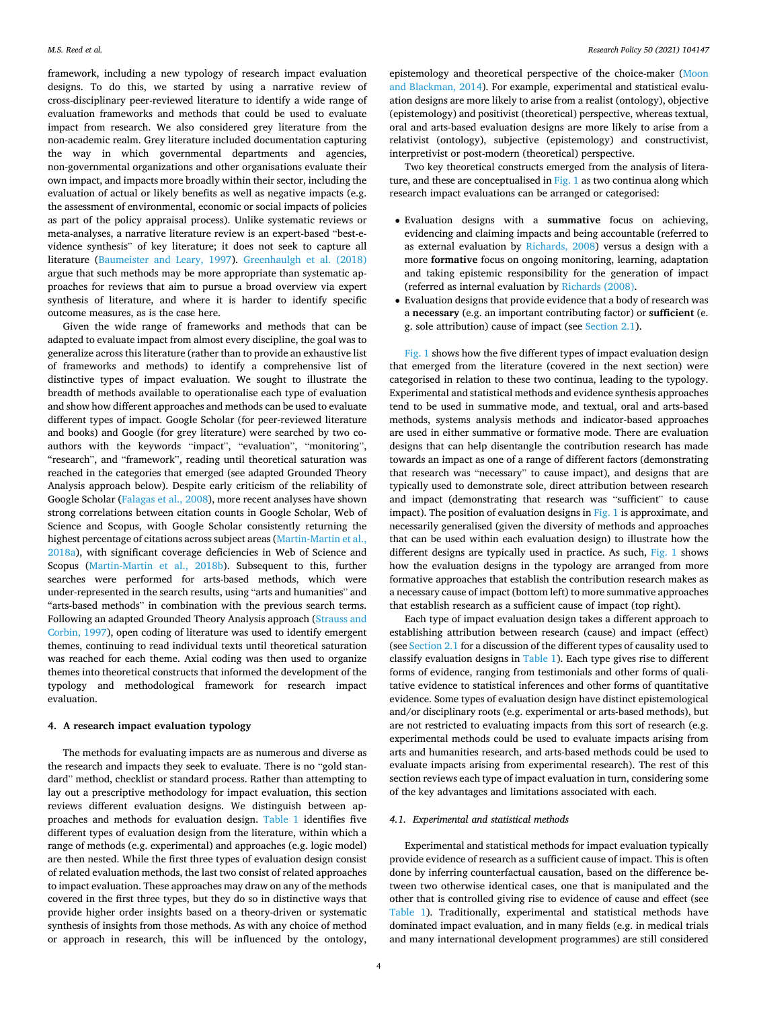<span id="page-4-0"></span>framework, including a new typology of research impact evaluation designs. To do this, we started by using a narrative review of cross-disciplinary peer-reviewed literature to identify a wide range of evaluation frameworks and methods that could be used to evaluate impact from research. We also considered grey literature from the non-academic realm. Grey literature included documentation capturing the way in which governmental departments and agencies, non-governmental organizations and other organisations evaluate their own impact, and impacts more broadly within their sector, including the evaluation of actual or likely benefits as well as negative impacts (e.g. the assessment of environmental, economic or social impacts of policies as part of the policy appraisal process). Unlike systematic reviews or meta-analyses, a narrative literature review is an expert-based "best-evidence synthesis" of key literature; it does not seek to capture all literature ([Baumeister and Leary, 1997](#page-12-0)). [Greenhaulgh et al. \(2018\)](#page-13-0)  argue that such methods may be more appropriate than systematic approaches for reviews that aim to pursue a broad overview via expert synthesis of literature, and where it is harder to identify specific outcome measures, as is the case here.

Given the wide range of frameworks and methods that can be adapted to evaluate impact from almost every discipline, the goal was to generalize across this literature (rather than to provide an exhaustive list of frameworks and methods) to identify a comprehensive list of distinctive types of impact evaluation. We sought to illustrate the breadth of methods available to operationalise each type of evaluation and show how different approaches and methods can be used to evaluate different types of impact. Google Scholar (for peer-reviewed literature and books) and Google (for grey literature) were searched by two coauthors with the keywords "impact", "evaluation", "monitoring", "research", and "framework", reading until theoretical saturation was reached in the categories that emerged (see adapted Grounded Theory Analysis approach below). Despite early criticism of the reliability of Google Scholar ([Falagas et al., 2008\)](#page-13-0), more recent analyses have shown strong correlations between citation counts in Google Scholar, Web of Science and Scopus, with Google Scholar consistently returning the highest percentage of citations across subject areas ([Martin-Martin et al.,](#page-13-0)  [2018a\)](#page-13-0), with significant coverage deficiencies in Web of Science and Scopus [\(Martin-Martin et al., 2018b\)](#page-13-0). Subsequent to this, further searches were performed for arts-based methods, which were under-represented in the search results, using "arts and humanities" and "arts-based methods" in combination with the previous search terms. Following an adapted Grounded Theory Analysis approach ([Strauss and](#page-14-0)  [Corbin, 1997](#page-14-0)), open coding of literature was used to identify emergent themes, continuing to read individual texts until theoretical saturation was reached for each theme. Axial coding was then used to organize themes into theoretical constructs that informed the development of the typology and methodological framework for research impact evaluation.

#### **4. A research impact evaluation typology**

The methods for evaluating impacts are as numerous and diverse as the research and impacts they seek to evaluate. There is no "gold standard" method, checklist or standard process. Rather than attempting to lay out a prescriptive methodology for impact evaluation, this section reviews different evaluation designs. We distinguish between approaches and methods for evaluation design. [Table 1](#page-5-0) identifies five different types of evaluation design from the literature, within which a range of methods (e.g. experimental) and approaches (e.g. logic model) are then nested. While the first three types of evaluation design consist of related evaluation methods, the last two consist of related approaches to impact evaluation. These approaches may draw on any of the methods covered in the first three types, but they do so in distinctive ways that provide higher order insights based on a theory-driven or systematic synthesis of insights from those methods. As with any choice of method or approach in research, this will be influenced by the ontology,

epistemology and theoretical perspective of the choice-maker ([Moon](#page-13-0)  [and Blackman, 2014](#page-13-0)). For example, experimental and statistical evaluation designs are more likely to arise from a realist (ontology), objective (epistemology) and positivist (theoretical) perspective, whereas textual, oral and arts-based evaluation designs are more likely to arise from a relativist (ontology), subjective (epistemology) and constructivist, interpretivist or post-modern (theoretical) perspective.

Two key theoretical constructs emerged from the analysis of litera-ture, and these are conceptualised in [Fig. 1](#page-7-0) as two continua along which research impact evaluations can be arranged or categorised:

- Evaluation designs with a **summative** focus on achieving, evidencing and claiming impacts and being accountable (referred to as external evaluation by [Richards, 2008](#page-14-0)) versus a design with a more **formative** focus on ongoing monitoring, learning, adaptation and taking epistemic responsibility for the generation of impact (referred as internal evaluation by [Richards \(2008\)](#page-14-0).
- Evaluation designs that provide evidence that a body of research was a **necessary** (e.g. an important contributing factor) or **sufficient** (e. g. sole attribution) cause of impact (see [Section 2.1](#page-2-0)).

[Fig. 1](#page-7-0) shows how the five different types of impact evaluation design that emerged from the literature (covered in the next section) were categorised in relation to these two continua, leading to the typology. Experimental and statistical methods and evidence synthesis approaches tend to be used in summative mode, and textual, oral and arts-based methods, systems analysis methods and indicator-based approaches are used in either summative or formative mode. There are evaluation designs that can help disentangle the contribution research has made towards an impact as one of a range of different factors (demonstrating that research was "necessary" to cause impact), and designs that are typically used to demonstrate sole, direct attribution between research and impact (demonstrating that research was "sufficient" to cause impact). The position of evaluation designs in [Fig. 1](#page-7-0) is approximate, and necessarily generalised (given the diversity of methods and approaches that can be used within each evaluation design) to illustrate how the different designs are typically used in practice. As such, [Fig. 1](#page-7-0) shows how the evaluation designs in the typology are arranged from more formative approaches that establish the contribution research makes as a necessary cause of impact (bottom left) to more summative approaches that establish research as a sufficient cause of impact (top right).

Each type of impact evaluation design takes a different approach to establishing attribution between research (cause) and impact (effect) (see [Section 2.1](#page-2-0) for a discussion of the different types of causality used to classify evaluation designs in [Table 1](#page-5-0)). Each type gives rise to different forms of evidence, ranging from testimonials and other forms of qualitative evidence to statistical inferences and other forms of quantitative evidence. Some types of evaluation design have distinct epistemological and/or disciplinary roots (e.g. experimental or arts-based methods), but are not restricted to evaluating impacts from this sort of research (e.g. experimental methods could be used to evaluate impacts arising from arts and humanities research, and arts-based methods could be used to evaluate impacts arising from experimental research). The rest of this section reviews each type of impact evaluation in turn, considering some of the key advantages and limitations associated with each.

#### *4.1. Experimental and statistical methods*

Experimental and statistical methods for impact evaluation typically provide evidence of research as a sufficient cause of impact. This is often done by inferring counterfactual causation, based on the difference between two otherwise identical cases, one that is manipulated and the other that is controlled giving rise to evidence of cause and effect (see [Table 1\)](#page-5-0). Traditionally, experimental and statistical methods have dominated impact evaluation, and in many fields (e.g. in medical trials and many international development programmes) are still considered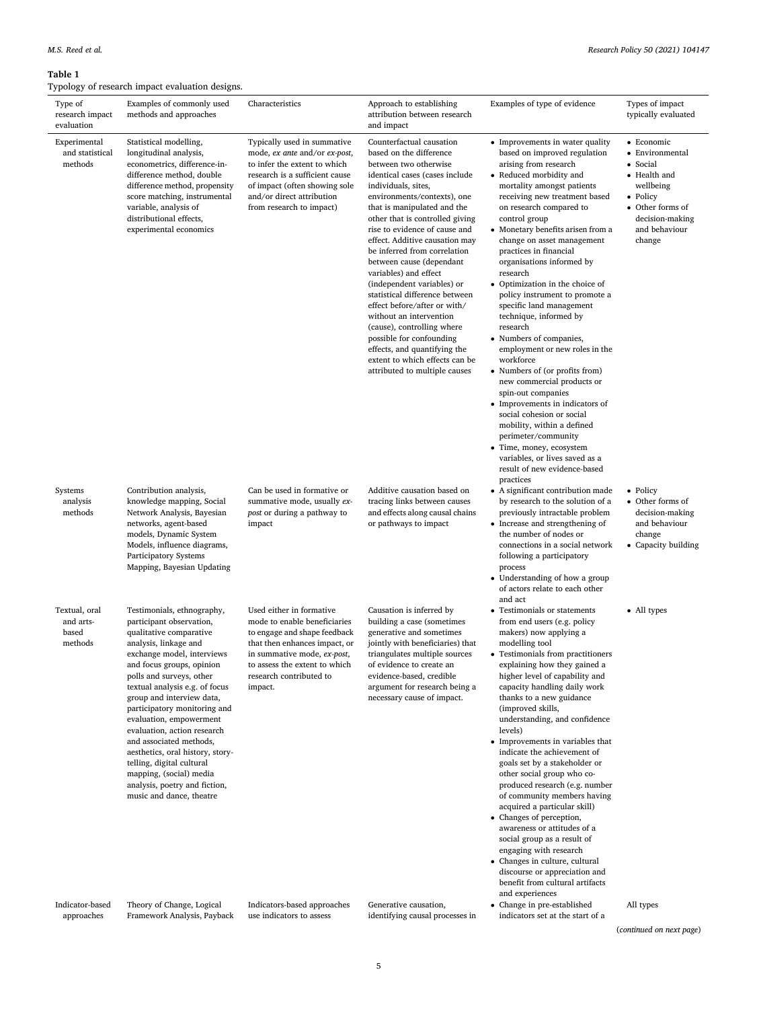approaches

Framework Analysis, Payback

<span id="page-5-0"></span>

| Type of<br>research impact<br>evaluation       | Examples of commonly used<br>methods and approaches                                                                                                                                                                                                                                                                                                                                                                                                                                                                                            | Characteristics                                                                                                                                                                                                                 | Approach to establishing<br>attribution between research<br>and impact                                                                                                                                                                                                                                                                                                                                                                                                                                                                                                                                                                                                                 | Examples of type of evidence                                                                                                                                                                                                                                                                                                                                                                                                                                                                                                                                                                                                                                                                                                                                                                                                                                                                                | Types of impact<br>typically evaluated                                                                                                               |
|------------------------------------------------|------------------------------------------------------------------------------------------------------------------------------------------------------------------------------------------------------------------------------------------------------------------------------------------------------------------------------------------------------------------------------------------------------------------------------------------------------------------------------------------------------------------------------------------------|---------------------------------------------------------------------------------------------------------------------------------------------------------------------------------------------------------------------------------|----------------------------------------------------------------------------------------------------------------------------------------------------------------------------------------------------------------------------------------------------------------------------------------------------------------------------------------------------------------------------------------------------------------------------------------------------------------------------------------------------------------------------------------------------------------------------------------------------------------------------------------------------------------------------------------|-------------------------------------------------------------------------------------------------------------------------------------------------------------------------------------------------------------------------------------------------------------------------------------------------------------------------------------------------------------------------------------------------------------------------------------------------------------------------------------------------------------------------------------------------------------------------------------------------------------------------------------------------------------------------------------------------------------------------------------------------------------------------------------------------------------------------------------------------------------------------------------------------------------|------------------------------------------------------------------------------------------------------------------------------------------------------|
| Experimental<br>and statistical<br>methods     | Statistical modelling,<br>longitudinal analysis,<br>econometrics, difference-in-<br>difference method, double<br>difference method, propensity<br>score matching, instrumental<br>variable, analysis of<br>distributional effects,<br>experimental economics                                                                                                                                                                                                                                                                                   | Typically used in summative<br>mode, ex ante and/or ex-post,<br>to infer the extent to which<br>research is a sufficient cause<br>of impact (often showing sole<br>and/or direct attribution<br>from research to impact)        | Counterfactual causation<br>based on the difference<br>between two otherwise<br>identical cases (cases include<br>individuals, sites,<br>environments/contexts), one<br>that is manipulated and the<br>other that is controlled giving<br>rise to evidence of cause and<br>effect. Additive causation may<br>be inferred from correlation<br>between cause (dependant<br>variables) and effect<br>(independent variables) or<br>statistical difference between<br>effect before/after or with/<br>without an intervention<br>(cause), controlling where<br>possible for confounding<br>effects, and quantifying the<br>extent to which effects can be<br>attributed to multiple causes | • Improvements in water quality<br>based on improved regulation<br>arising from research<br>• Reduced morbidity and<br>mortality amongst patients<br>receiving new treatment based<br>on research compared to<br>control group<br>• Monetary benefits arisen from a<br>change on asset management<br>practices in financial<br>organisations informed by<br>research<br>• Optimization in the choice of<br>policy instrument to promote a<br>specific land management<br>technique, informed by<br>research<br>• Numbers of companies,<br>employment or new roles in the<br>workforce<br>• Numbers of (or profits from)<br>new commercial products or<br>spin-out companies<br>• Improvements in indicators of<br>social cohesion or social<br>mobility, within a defined<br>perimeter/community<br>• Time, money, ecosystem<br>variables, or lives saved as a<br>result of new evidence-based<br>practices | • Economic<br>• Environmental<br>• Social<br>• Health and<br>wellbeing<br>• Policy<br>• Other forms of<br>decision-making<br>and behaviour<br>change |
| Systems<br>analysis<br>methods                 | Contribution analysis,<br>knowledge mapping, Social<br>Network Analysis, Bayesian<br>networks, agent-based<br>models, Dynamic System<br>Models, influence diagrams,<br>Participatory Systems<br>Mapping, Bayesian Updating                                                                                                                                                                                                                                                                                                                     | Can be used in formative or<br>summative mode, usually ex-<br>post or during a pathway to<br>impact                                                                                                                             | Additive causation based on<br>tracing links between causes<br>and effects along causal chains<br>or pathways to impact                                                                                                                                                                                                                                                                                                                                                                                                                                                                                                                                                                | • A significant contribution made<br>by research to the solution of a<br>previously intractable problem<br>• Increase and strengthening of<br>the number of nodes or<br>connections in a social network<br>following a participatory<br>process<br>Understanding of how a group<br>of actors relate to each other<br>and act                                                                                                                                                                                                                                                                                                                                                                                                                                                                                                                                                                                | • Policy<br>• Other forms of<br>decision-making<br>and behaviour<br>change<br>• Capacity building                                                    |
| Textual, oral<br>and arts-<br>based<br>methods | Testimonials, ethnography,<br>participant observation,<br>qualitative comparative<br>analysis, linkage and<br>exchange model, interviews<br>and focus groups, opinion<br>polls and surveys, other<br>textual analysis e.g. of focus<br>group and interview data,<br>participatory monitoring and<br>evaluation, empowerment<br>evaluation, action research<br>and associated methods,<br>aesthetics, oral history, story-<br>telling, digital cultural<br>mapping, (social) media<br>analysis, poetry and fiction,<br>music and dance, theatre | Used either in formative<br>mode to enable beneficiaries<br>to engage and shape feedback<br>that then enhances impact, or<br>in summative mode, ex-post,<br>to assess the extent to which<br>research contributed to<br>impact. | Causation is inferred by<br>building a case (sometimes<br>generative and sometimes<br>jointly with beneficiaries) that<br>triangulates multiple sources<br>of evidence to create an<br>evidence-based, credible<br>argument for research being a<br>necessary cause of impact.                                                                                                                                                                                                                                                                                                                                                                                                         | • Testimonials or statements<br>from end users (e.g. policy<br>makers) now applying a<br>modelling tool<br>• Testimonials from practitioners<br>explaining how they gained a<br>higher level of capability and<br>capacity handling daily work<br>thanks to a new guidance<br>(improved skills,<br>understanding, and confidence<br>levels)<br>• Improvements in variables that<br>indicate the achievement of<br>goals set by a stakeholder or<br>other social group who co-<br>produced research (e.g. number<br>of community members having<br>acquired a particular skill)<br>• Changes of perception,<br>awareness or attitudes of a<br>social group as a result of<br>engaging with research<br>• Changes in culture, cultural<br>discourse or appreciation and<br>benefit from cultural artifacts                                                                                                    | • All types                                                                                                                                          |
| Indicator-based                                | Theory of Change, Logical                                                                                                                                                                                                                                                                                                                                                                                                                                                                                                                      | Indicators-based approaches                                                                                                                                                                                                     | Generative causation,                                                                                                                                                                                                                                                                                                                                                                                                                                                                                                                                                                                                                                                                  | and experiences<br>• Change in pre-established                                                                                                                                                                                                                                                                                                                                                                                                                                                                                                                                                                                                                                                                                                                                                                                                                                                              | All types                                                                                                                                            |

(*continued on next page*)

indicators set at the start of a

identifying causal processes in

use indicators to assess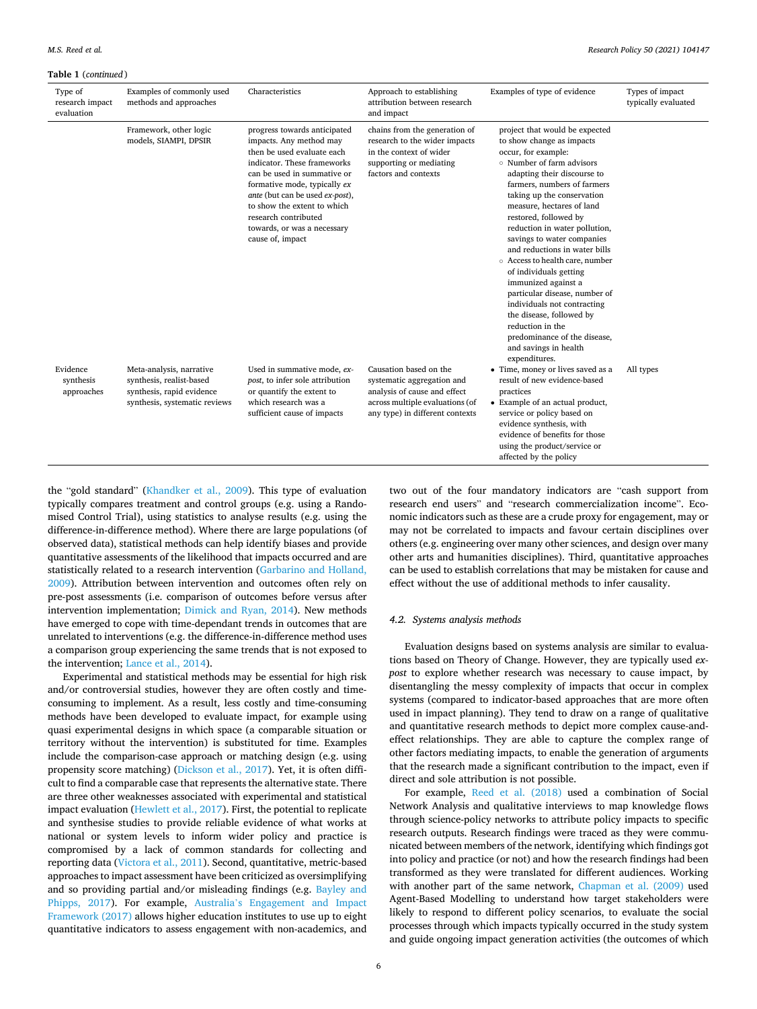#### **Table 1** (*continued* )

| Type of<br>research impact<br>evaluation | Examples of commonly used<br>methods and approaches                                                                | Characteristics                                                                                                                                                                                                                                                                                                                  | Approach to establishing<br>attribution between research<br>and impact                                                                                     | Examples of type of evidence                                                                                                                                                                                                                                                                                                                                                                                                                                                                                                                                                                                                                    | Types of impact<br>typically evaluated |
|------------------------------------------|--------------------------------------------------------------------------------------------------------------------|----------------------------------------------------------------------------------------------------------------------------------------------------------------------------------------------------------------------------------------------------------------------------------------------------------------------------------|------------------------------------------------------------------------------------------------------------------------------------------------------------|-------------------------------------------------------------------------------------------------------------------------------------------------------------------------------------------------------------------------------------------------------------------------------------------------------------------------------------------------------------------------------------------------------------------------------------------------------------------------------------------------------------------------------------------------------------------------------------------------------------------------------------------------|----------------------------------------|
|                                          | Framework, other logic<br>models, SIAMPI, DPSIR                                                                    | progress towards anticipated<br>impacts. Any method may<br>then be used evaluate each<br>indicator. These frameworks<br>can be used in summative or<br>formative mode, typically ex<br>ante (but can be used ex-post),<br>to show the extent to which<br>research contributed<br>towards, or was a necessary<br>cause of, impact | chains from the generation of<br>research to the wider impacts<br>in the context of wider<br>supporting or mediating<br>factors and contexts               | project that would be expected<br>to show change as impacts<br>occur, for example:<br>○ Number of farm advisors<br>adapting their discourse to<br>farmers, numbers of farmers<br>taking up the conservation<br>measure, hectares of land<br>restored, followed by<br>reduction in water pollution,<br>savings to water companies<br>and reductions in water bills<br>○ Access to health care, number<br>of individuals getting<br>immunized against a<br>particular disease, number of<br>individuals not contracting<br>the disease, followed by<br>reduction in the<br>predominance of the disease,<br>and savings in health<br>expenditures. |                                        |
| Evidence<br>synthesis<br>approaches      | Meta-analysis, narrative<br>synthesis, realist-based<br>synthesis, rapid evidence<br>synthesis, systematic reviews | Used in summative mode, ex-<br>post, to infer sole attribution<br>or quantify the extent to<br>which research was a<br>sufficient cause of impacts                                                                                                                                                                               | Causation based on the<br>systematic aggregation and<br>analysis of cause and effect<br>across multiple evaluations (of<br>any type) in different contexts | • Time, money or lives saved as a<br>result of new evidence-based<br>practices<br>• Example of an actual product,<br>service or policy based on<br>evidence synthesis, with<br>evidence of benefits for those<br>using the product/service or<br>affected by the policy                                                                                                                                                                                                                                                                                                                                                                         | All types                              |

the "gold standard" [\(Khandker et al., 2009](#page-13-0)). This type of evaluation typically compares treatment and control groups (e.g. using a Randomised Control Trial), using statistics to analyse results (e.g. using the difference-in-difference method). Where there are large populations (of observed data), statistical methods can help identify biases and provide quantitative assessments of the likelihood that impacts occurred and are statistically related to a research intervention ([Garbarino and Holland,](#page-13-0)  [2009\)](#page-13-0). Attribution between intervention and outcomes often rely on pre-post assessments (i.e. comparison of outcomes before versus after intervention implementation; [Dimick and Ryan, 2014](#page-13-0)). New methods have emerged to cope with time-dependant trends in outcomes that are unrelated to interventions (e.g. the difference-in-difference method uses a comparison group experiencing the same trends that is not exposed to the intervention; [Lance et al., 2014](#page-13-0)).

Experimental and statistical methods may be essential for high risk and/or controversial studies, however they are often costly and timeconsuming to implement. As a result, less costly and time-consuming methods have been developed to evaluate impact, for example using quasi experimental designs in which space (a comparable situation or territory without the intervention) is substituted for time. Examples include the comparison-case approach or matching design (e.g. using propensity score matching) ([Dickson et al., 2017\)](#page-13-0). Yet, it is often difficult to find a comparable case that represents the alternative state. There are three other weaknesses associated with experimental and statistical impact evaluation ([Hewlett et al., 2017](#page-13-0)). First, the potential to replicate and synthesise studies to provide reliable evidence of what works at national or system levels to inform wider policy and practice is compromised by a lack of common standards for collecting and reporting data ([Victora et al., 2011\)](#page-14-0). Second, quantitative, metric-based approaches to impact assessment have been criticized as oversimplifying and so providing partial and/or misleading findings (e.g. [Bayley and](#page-12-0)  [Phipps, 2017](#page-12-0)). For example, Australia'[s Engagement and Impact](#page-12-0)  [Framework \(2017\)](#page-12-0) allows higher education institutes to use up to eight quantitative indicators to assess engagement with non-academics, and two out of the four mandatory indicators are "cash support from research end users" and "research commercialization income". Economic indicators such as these are a crude proxy for engagement, may or may not be correlated to impacts and favour certain disciplines over others (e.g. engineering over many other sciences, and design over many other arts and humanities disciplines). Third, quantitative approaches can be used to establish correlations that may be mistaken for cause and effect without the use of additional methods to infer causality.

#### *4.2. Systems analysis methods*

Evaluation designs based on systems analysis are similar to evaluations based on Theory of Change. However, they are typically used *expost* to explore whether research was necessary to cause impact, by disentangling the messy complexity of impacts that occur in complex systems (compared to indicator-based approaches that are more often used in impact planning). They tend to draw on a range of qualitative and quantitative research methods to depict more complex cause-andeffect relationships. They are able to capture the complex range of other factors mediating impacts, to enable the generation of arguments that the research made a significant contribution to the impact, even if direct and sole attribution is not possible.

For example, [Reed et al. \(2018\)](#page-14-0) used a combination of Social Network Analysis and qualitative interviews to map knowledge flows through science-policy networks to attribute policy impacts to specific research outputs. Research findings were traced as they were communicated between members of the network, identifying which findings got into policy and practice (or not) and how the research findings had been transformed as they were translated for different audiences. Working with another part of the same network, [Chapman et al. \(2009\)](#page-13-0) used Agent-Based Modelling to understand how target stakeholders were likely to respond to different policy scenarios, to evaluate the social processes through which impacts typically occurred in the study system and guide ongoing impact generation activities (the outcomes of which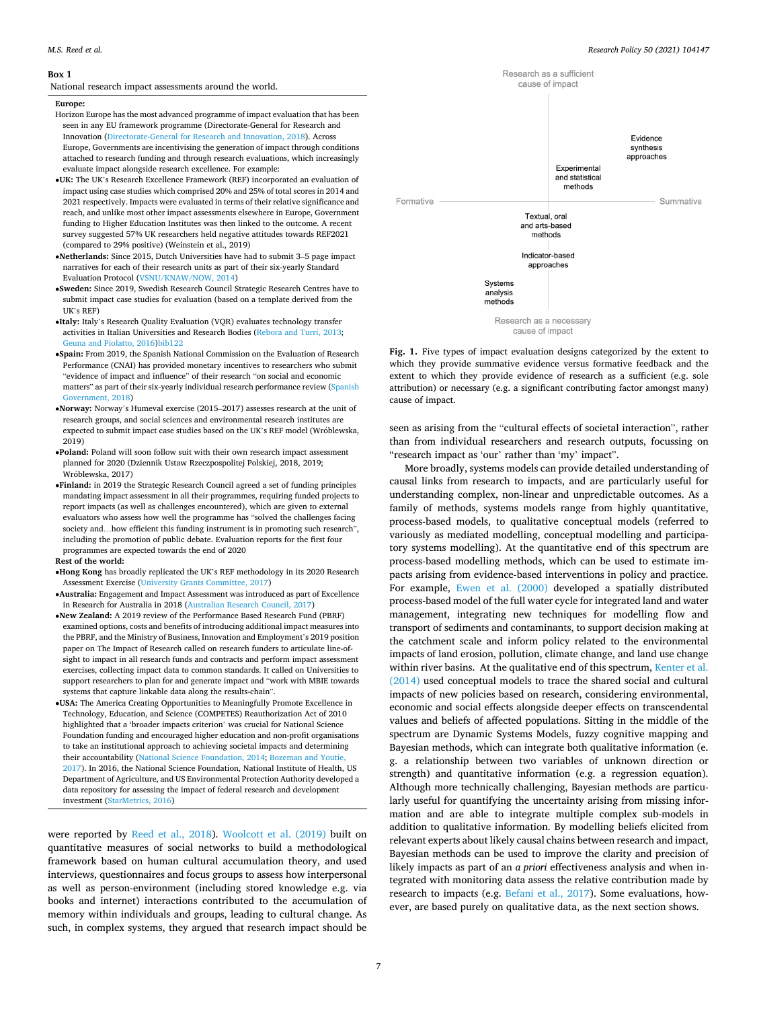#### <span id="page-7-0"></span>**Box 1**

National research impact assessments around the world.

#### **Europe:**

- Horizon Europe has the most advanced programme of impact evaluation that has been seen in any EU framework programme (Directorate-General for Research and Innovation [\(Directorate-General for Research and Innovation, 2018](#page-13-0)). Across Europe, Governments are incentivising the generation of impact through conditions attached to research funding and through research evaluations, which increasingly evaluate impact alongside research excellence. For example:
- •**UK:** The UK's Research Excellence Framework (REF) incorporated an evaluation of impact using case studies which comprised 20% and 25% of total scores in 2014 and 2021 respectively. Impacts were evaluated in terms of their relative significance and reach, and unlike most other impact assessments elsewhere in Europe, Government funding to Higher Education Institutes was then linked to the outcome. A recent survey suggested 57% UK researchers held negative attitudes towards REF2021 (compared to 29% positive) (Weinstein et al., 2019)
- •**Netherlands:** Since 2015, Dutch Universities have had to submit 3–5 page impact narratives for each of their research units as part of their six-yearly Standard Evaluation Protocol ([VSNU/KNAW/NOW, 2014\)](#page-14-0)
- •**Sweden:** Since 2019, Swedish Research Council Strategic Research Centres have to submit impact case studies for evaluation (based on a template derived from the UK's REF)
- •**Italy:** Italy's Research Quality Evaluation (VQR) evaluates technology transfer activities in Italian Universities and Research Bodies [\(Rebora and Turri, 2013;](#page-14-0) [Geuna and Piolatto, 2016](#page-13-0)[\)bib122](#page-14-0)
- •**Spain:** From 2019, the Spanish National Commission on the Evaluation of Research Performance (CNAI) has provided monetary incentives to researchers who submit "evidence of impact and influence" of their research "on social and economic matters" as part of their six-yearly individual research performance review ([Spanish](#page-14-0)  [Government, 2018](#page-14-0))
- •**Norway:** Norway's Humeval exercise (2015–2017) assesses research at the unit of research groups, and social sciences and environmental research institutes are expected to submit impact case studies based on the UK's REF model (Wróblewska, 2019)
- •**Poland:** Poland will soon follow suit with their own research impact assessment planned for 2020 (Dziennik Ustaw Rzeczpospolitej Polskiej, 2018, 2019; Wróblewska, 2017)
- •**Finland:** in 2019 the Strategic Research Council agreed a set of funding principles mandating impact assessment in all their programmes, requiring funded projects to report impacts (as well as challenges encountered), which are given to external evaluators who assess how well the programme has "solved the challenges facing society and...how efficient this funding instrument is in promoting such research", including the promotion of public debate. Evaluation reports for the first four programmes are expected towards the end of 2020

#### **Rest of the world:**

- •**Hong Kong** has broadly replicated the UK's REF methodology in its 2020 Research Assessment Exercise ([University Grants Committee, 2017](#page-14-0))
- •**Australia:** Engagement and Impact Assessment was introduced as part of Excellence in Research for Australia in 2018 ([Australian Research Council, 2017](#page-12-0))
- •**New Zealand:** A 2019 review of the Performance Based Research Fund (PBRF) examined options, costs and benefits of introducing additional impact measures into the PBRF, and the Ministry of Business, Innovation and Employment's 2019 position paper on The Impact of Research called on research funders to articulate line-ofsight to impact in all research funds and contracts and perform impact assessment exercises, collecting impact data to common standards. It called on Universities to support researchers to plan for and generate impact and "work with MBIE towards systems that capture linkable data along the results-chain".
- •**USA:** The America Creating Opportunities to Meaningfully Promote Excellence in Technology, Education, and Science (COMPETES) Reauthorization Act of 2010 highlighted that a 'broader impacts criterion' was crucial for National Science Foundation funding and encouraged higher education and non-profit organisations to take an institutional approach to achieving societal impacts and determining their accountability [\(National Science Foundation, 2014;](#page-14-0) [Bozeman and Youtie,](#page-13-0) [2017\)](#page-13-0). In 2016, the National Science Foundation, National Institute of Health, US Department of Agriculture, and US Environmental Protection Authority developed a data repository for assessing the impact of federal research and development investment ([StarMetrics, 2016](#page-14-0))

were reported by [Reed et al., 2018\)](#page-14-0). [Woolcott et al. \(2019\)](#page-14-0) built on quantitative measures of social networks to build a methodological framework based on human cultural accumulation theory, and used interviews, questionnaires and focus groups to assess how interpersonal as well as person-environment (including stored knowledge e.g. via books and internet) interactions contributed to the accumulation of memory within individuals and groups, leading to cultural change. As such, in complex systems, they argued that research impact should be



**Fig. 1.** Five types of impact evaluation designs categorized by the extent to which they provide summative evidence versus formative feedback and the extent to which they provide evidence of research as a sufficient (e.g. sole attribution) or necessary (e.g. a significant contributing factor amongst many) cause of impact.

seen as arising from the "cultural effects of societal interaction", rather than from individual researchers and research outputs, focussing on "research impact as 'our' rather than 'my' impact".

More broadly, systems models can provide detailed understanding of causal links from research to impacts, and are particularly useful for understanding complex, non-linear and unpredictable outcomes. As a family of methods, systems models range from highly quantitative, process-based models, to qualitative conceptual models (referred to variously as mediated modelling, conceptual modelling and participatory systems modelling). At the quantitative end of this spectrum are process-based modelling methods, which can be used to estimate impacts arising from evidence-based interventions in policy and practice. For example, [Ewen et al. \(2000\)](#page-13-0) developed a spatially distributed process-based model of the full water cycle for integrated land and water management, integrating new techniques for modelling flow and transport of sediments and contaminants, to support decision making at the catchment scale and inform policy related to the environmental impacts of land erosion, pollution, climate change, and land use change within river basins. At the qualitative end of this spectrum, [Kenter et al.](#page-13-0)  [\(2014\)](#page-13-0) used conceptual models to trace the shared social and cultural impacts of new policies based on research, considering environmental, economic and social effects alongside deeper effects on transcendental values and beliefs of affected populations. Sitting in the middle of the spectrum are Dynamic Systems Models, fuzzy cognitive mapping and Bayesian methods, which can integrate both qualitative information (e. g. a relationship between two variables of unknown direction or strength) and quantitative information (e.g. a regression equation). Although more technically challenging, Bayesian methods are particularly useful for quantifying the uncertainty arising from missing information and are able to integrate multiple complex sub-models in addition to qualitative information. By modelling beliefs elicited from relevant experts about likely causal chains between research and impact, Bayesian methods can be used to improve the clarity and precision of likely impacts as part of an *a priori* effectiveness analysis and when integrated with monitoring data assess the relative contribution made by research to impacts (e.g. [Befani et al., 2017](#page-12-0)). Some evaluations, however, are based purely on qualitative data, as the next section shows.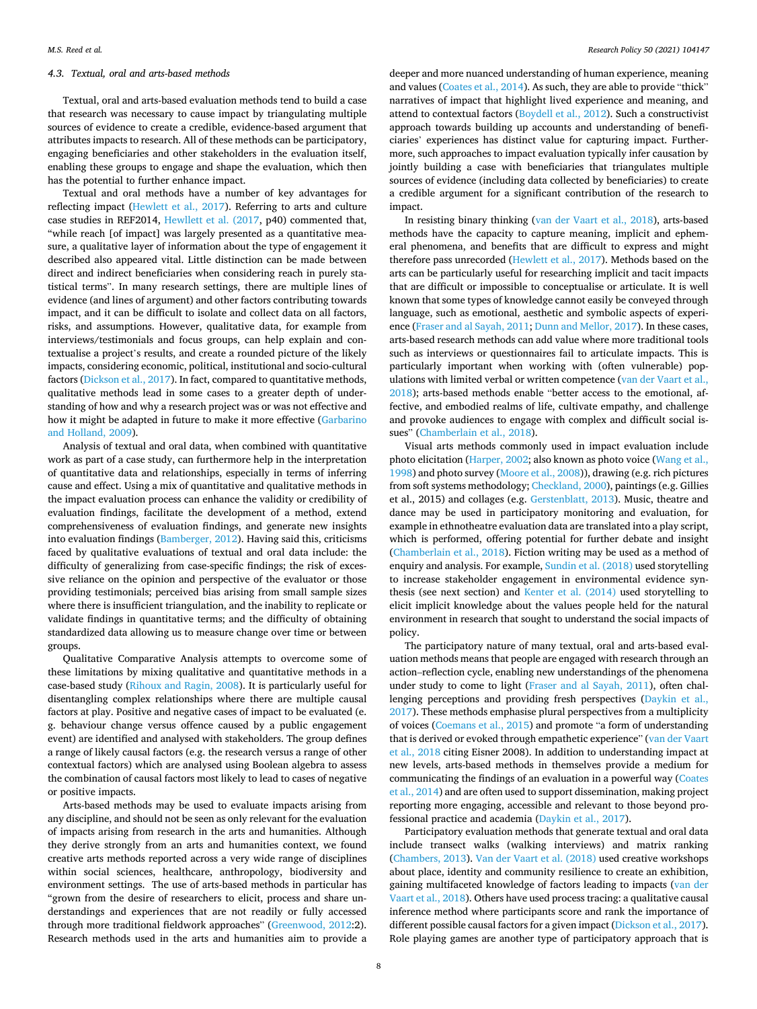#### *4.3. Textual, oral and arts-based methods*

Textual, oral and arts-based evaluation methods tend to build a case that research was necessary to cause impact by triangulating multiple sources of evidence to create a credible, evidence-based argument that attributes impacts to research. All of these methods can be participatory, engaging beneficiaries and other stakeholders in the evaluation itself, enabling these groups to engage and shape the evaluation, which then has the potential to further enhance impact.

Textual and oral methods have a number of key advantages for reflecting impact [\(Hewlett et al., 2017\)](#page-13-0). Referring to arts and culture case studies in REF2014, [Hewllett et al. \(2017](#page-13-0), p40) commented that, "while reach [of impact] was largely presented as a quantitative measure, a qualitative layer of information about the type of engagement it described also appeared vital. Little distinction can be made between direct and indirect beneficiaries when considering reach in purely statistical terms". In many research settings, there are multiple lines of evidence (and lines of argument) and other factors contributing towards impact, and it can be difficult to isolate and collect data on all factors, risks, and assumptions. However, qualitative data, for example from interviews/testimonials and focus groups, can help explain and contextualise a project's results, and create a rounded picture of the likely impacts, considering economic, political, institutional and socio-cultural factors ([Dickson et al., 2017](#page-13-0)). In fact, compared to quantitative methods, qualitative methods lead in some cases to a greater depth of understanding of how and why a research project was or was not effective and how it might be adapted in future to make it more effective [\(Garbarino](#page-13-0)  [and Holland, 2009\)](#page-13-0).

Analysis of textual and oral data, when combined with quantitative work as part of a case study, can furthermore help in the interpretation of quantitative data and relationships, especially in terms of inferring cause and effect. Using a mix of quantitative and qualitative methods in the impact evaluation process can enhance the validity or credibility of evaluation findings, facilitate the development of a method, extend comprehensiveness of evaluation findings, and generate new insights into evaluation findings [\(Bamberger, 2012\)](#page-12-0). Having said this, criticisms faced by qualitative evaluations of textual and oral data include: the difficulty of generalizing from case-specific findings; the risk of excessive reliance on the opinion and perspective of the evaluator or those providing testimonials; perceived bias arising from small sample sizes where there is insufficient triangulation, and the inability to replicate or validate findings in quantitative terms; and the difficulty of obtaining standardized data allowing us to measure change over time or between groups.

Qualitative Comparative Analysis attempts to overcome some of these limitations by mixing qualitative and quantitative methods in a case-based study [\(Rihoux and Ragin, 2008](#page-14-0)). It is particularly useful for disentangling complex relationships where there are multiple causal factors at play. Positive and negative cases of impact to be evaluated (e. g. behaviour change versus offence caused by a public engagement event) are identified and analysed with stakeholders. The group defines a range of likely causal factors (e.g. the research versus a range of other contextual factors) which are analysed using Boolean algebra to assess the combination of causal factors most likely to lead to cases of negative or positive impacts.

Arts-based methods may be used to evaluate impacts arising from any discipline, and should not be seen as only relevant for the evaluation of impacts arising from research in the arts and humanities. Although they derive strongly from an arts and humanities context, we found creative arts methods reported across a very wide range of disciplines within social sciences, healthcare, anthropology, biodiversity and environment settings. The use of arts-based methods in particular has "grown from the desire of researchers to elicit, process and share understandings and experiences that are not readily or fully accessed through more traditional fieldwork approaches" ([Greenwood, 2012:](#page-13-0)2). Research methods used in the arts and humanities aim to provide a

deeper and more nuanced understanding of human experience, meaning and values [\(Coates et al., 2014](#page-13-0)). As such, they are able to provide "thick" narratives of impact that highlight lived experience and meaning, and attend to contextual factors ([Boydell et al., 2012](#page-13-0)). Such a constructivist approach towards building up accounts and understanding of beneficiaries' experiences has distinct value for capturing impact. Furthermore, such approaches to impact evaluation typically infer causation by jointly building a case with beneficiaries that triangulates multiple sources of evidence (including data collected by beneficiaries) to create a credible argument for a significant contribution of the research to impact.

In resisting binary thinking ([van der Vaart et al., 2018](#page-14-0)), arts-based methods have the capacity to capture meaning, implicit and ephemeral phenomena, and benefits that are difficult to express and might therefore pass unrecorded [\(Hewlett et al., 2017](#page-13-0)). Methods based on the arts can be particularly useful for researching implicit and tacit impacts that are difficult or impossible to conceptualise or articulate. It is well known that some types of knowledge cannot easily be conveyed through language, such as emotional, aesthetic and symbolic aspects of experience [\(Fraser and al Sayah, 2011; Dunn and Mellor, 2017\)](#page-13-0). In these cases, arts-based research methods can add value where more traditional tools such as interviews or questionnaires fail to articulate impacts. This is particularly important when working with (often vulnerable) populations with limited verbal or written competence [\(van der Vaart et al.,](#page-14-0)  [2018\)](#page-14-0); arts-based methods enable "better access to the emotional, affective, and embodied realms of life, cultivate empathy, and challenge and provoke audiences to engage with complex and difficult social issues" [\(Chamberlain et al., 2018](#page-13-0)).

Visual arts methods commonly used in impact evaluation include photo elicitation [\(Harper, 2002;](#page-13-0) also known as photo voice [\(Wang et al.,](#page-14-0)  [1998\)](#page-14-0) and photo survey ([Moore et al., 2008\)](#page-13-0)), drawing (e.g. rich pictures from soft systems methodology; [Checkland, 2000](#page-13-0)), paintings (e.g. Gillies et al., 2015) and collages (e.g. [Gerstenblatt, 2013](#page-13-0)). Music, theatre and dance may be used in participatory monitoring and evaluation, for example in ethnotheatre evaluation data are translated into a play script, which is performed, offering potential for further debate and insight ([Chamberlain et al., 2018](#page-13-0)). Fiction writing may be used as a method of enquiry and analysis. For example, [Sundin et al. \(2018\)](#page-14-0) used storytelling to increase stakeholder engagement in environmental evidence synthesis (see next section) and [Kenter et al. \(2014\)](#page-13-0) used storytelling to elicit implicit knowledge about the values people held for the natural environment in research that sought to understand the social impacts of policy.

The participatory nature of many textual, oral and arts-based evaluation methods means that people are engaged with research through an action–reflection cycle, enabling new understandings of the phenomena under study to come to light ([Fraser and al Sayah, 2011](#page-13-0)), often challenging perceptions and providing fresh perspectives [\(Daykin et al.,](#page-13-0)  [2017\)](#page-13-0). These methods emphasise plural perspectives from a multiplicity of voices ([Coemans et al., 2015\)](#page-13-0) and promote "a form of understanding that is derived or evoked through empathetic experience" ([van der Vaart](#page-14-0)  [et al., 2018](#page-14-0) citing Eisner 2008). In addition to understanding impact at new levels, arts-based methods in themselves provide a medium for communicating the findings of an evaluation in a powerful way ([Coates](#page-13-0)  [et al., 2014](#page-13-0)) and are often used to support dissemination, making project reporting more engaging, accessible and relevant to those beyond professional practice and academia [\(Daykin et al., 2017\)](#page-13-0).

Participatory evaluation methods that generate textual and oral data include transect walks (walking interviews) and matrix ranking ([Chambers, 2013](#page-13-0)). [Van der Vaart et al. \(2018\)](#page-14-0) used creative workshops about place, identity and community resilience to create an exhibition, gaining multifaceted knowledge of factors leading to impacts ([van der](#page-14-0)  [Vaart et al., 2018](#page-14-0)). Others have used process tracing: a qualitative causal inference method where participants score and rank the importance of different possible causal factors for a given impact [\(Dickson et al., 2017](#page-13-0)). Role playing games are another type of participatory approach that is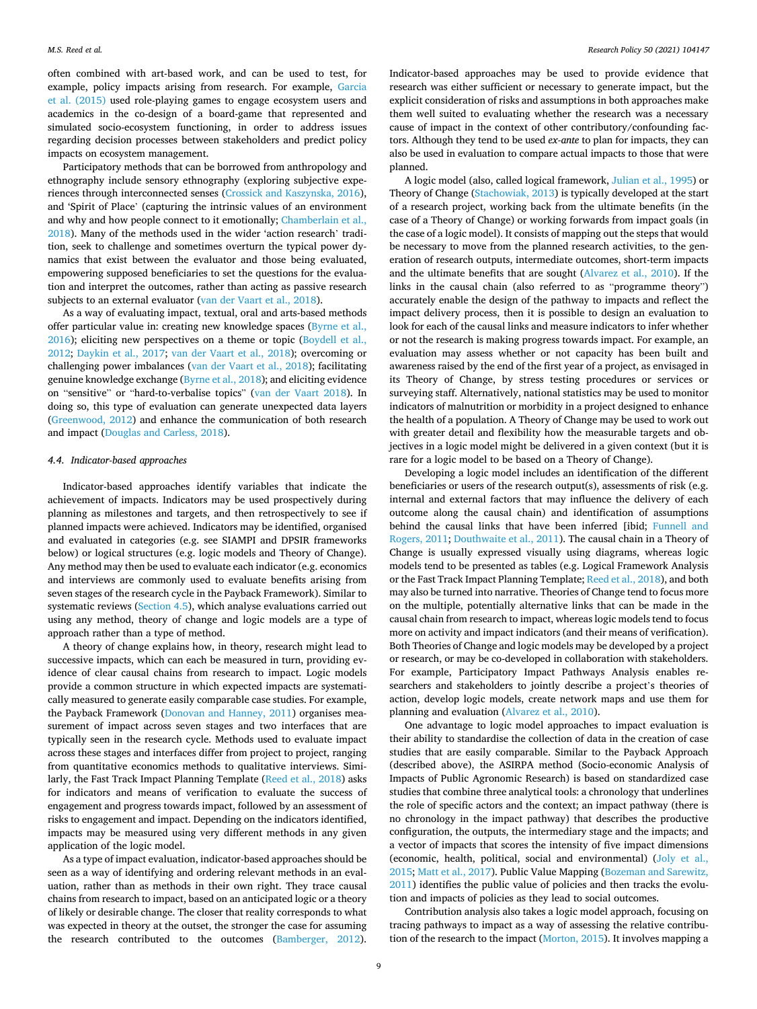often combined with art-based work, and can be used to test, for example, policy impacts arising from research. For example, [Garcia](#page-13-0)  [et al. \(2015\)](#page-13-0) used role-playing games to engage ecosystem users and academics in the co-design of a board-game that represented and simulated socio-ecosystem functioning, in order to address issues regarding decision processes between stakeholders and predict policy impacts on ecosystem management.

Participatory methods that can be borrowed from anthropology and ethnography include sensory ethnography (exploring subjective experiences through interconnected senses ([Crossick and Kaszynska, 2016](#page-13-0)), and 'Spirit of Place' (capturing the intrinsic values of an environment and why and how people connect to it emotionally; [Chamberlain et al.,](#page-13-0)  [2018\)](#page-13-0). Many of the methods used in the wider 'action research' tradition, seek to challenge and sometimes overturn the typical power dynamics that exist between the evaluator and those being evaluated, empowering supposed beneficiaries to set the questions for the evaluation and interpret the outcomes, rather than acting as passive research subjects to an external evaluator [\(van der Vaart et al., 2018](#page-14-0)).

As a way of evaluating impact, textual, oral and arts-based methods offer particular value in: creating new knowledge spaces [\(Byrne et al.,](#page-13-0)  [2016\)](#page-13-0); eliciting new perspectives on a theme or topic [\(Boydell et al.,](#page-13-0)  [2012;](#page-13-0) [Daykin et al., 2017;](#page-13-0) [van der Vaart et al., 2018\)](#page-14-0); overcoming or challenging power imbalances ([van der Vaart et al., 2018\)](#page-14-0); facilitating genuine knowledge exchange ([Byrne et al., 2018\)](#page-13-0); and eliciting evidence on "sensitive" or "hard-to-verbalise topics" [\(van der Vaart 2018\)](#page-14-0). In doing so, this type of evaluation can generate unexpected data layers ([Greenwood, 2012](#page-13-0)) and enhance the communication of both research and impact ([Douglas and Carless, 2018](#page-13-0)).

#### *4.4. Indicator-based approaches*

Indicator-based approaches identify variables that indicate the achievement of impacts. Indicators may be used prospectively during planning as milestones and targets, and then retrospectively to see if planned impacts were achieved. Indicators may be identified, organised and evaluated in categories (e.g. see SIAMPI and DPSIR frameworks below) or logical structures (e.g. logic models and Theory of Change). Any method may then be used to evaluate each indicator (e.g. economics and interviews are commonly used to evaluate benefits arising from seven stages of the research cycle in the Payback Framework). Similar to systematic reviews ([Section 4.5\)](#page-10-0), which analyse evaluations carried out using any method, theory of change and logic models are a type of approach rather than a type of method.

A theory of change explains how, in theory, research might lead to successive impacts, which can each be measured in turn, providing evidence of clear causal chains from research to impact. Logic models provide a common structure in which expected impacts are systematically measured to generate easily comparable case studies. For example, the Payback Framework ([Donovan and Hanney, 2011\)](#page-13-0) organises measurement of impact across seven stages and two interfaces that are typically seen in the research cycle. Methods used to evaluate impact across these stages and interfaces differ from project to project, ranging from quantitative economics methods to qualitative interviews. Similarly, the Fast Track Impact Planning Template ([Reed et al., 2018\)](#page-14-0) asks for indicators and means of verification to evaluate the success of engagement and progress towards impact, followed by an assessment of risks to engagement and impact. Depending on the indicators identified, impacts may be measured using very different methods in any given application of the logic model.

As a type of impact evaluation, indicator-based approaches should be seen as a way of identifying and ordering relevant methods in an evaluation, rather than as methods in their own right. They trace causal chains from research to impact, based on an anticipated logic or a theory of likely or desirable change. The closer that reality corresponds to what was expected in theory at the outset, the stronger the case for assuming the research contributed to the outcomes ([Bamberger, 2012](#page-12-0)).

Indicator-based approaches may be used to provide evidence that research was either sufficient or necessary to generate impact, but the explicit consideration of risks and assumptions in both approaches make them well suited to evaluating whether the research was a necessary cause of impact in the context of other contributory/confounding factors. Although they tend to be used *ex-ante* to plan for impacts, they can also be used in evaluation to compare actual impacts to those that were planned.

A logic model (also, called logical framework, [Julian et al., 1995](#page-13-0)) or Theory of Change ([Stachowiak, 2013\)](#page-14-0) is typically developed at the start of a research project, working back from the ultimate benefits (in the case of a Theory of Change) or working forwards from impact goals (in the case of a logic model). It consists of mapping out the steps that would be necessary to move from the planned research activities, to the generation of research outputs, intermediate outcomes, short-term impacts and the ultimate benefits that are sought ([Alvarez et al., 2010](#page-12-0)). If the links in the causal chain (also referred to as "programme theory") accurately enable the design of the pathway to impacts and reflect the impact delivery process, then it is possible to design an evaluation to look for each of the causal links and measure indicators to infer whether or not the research is making progress towards impact. For example, an evaluation may assess whether or not capacity has been built and awareness raised by the end of the first year of a project, as envisaged in its Theory of Change, by stress testing procedures or services or surveying staff. Alternatively, national statistics may be used to monitor indicators of malnutrition or morbidity in a project designed to enhance the health of a population. A Theory of Change may be used to work out with greater detail and flexibility how the measurable targets and objectives in a logic model might be delivered in a given context (but it is rare for a logic model to be based on a Theory of Change).

Developing a logic model includes an identification of the different beneficiaries or users of the research output(s), assessments of risk (e.g. internal and external factors that may influence the delivery of each outcome along the causal chain) and identification of assumptions behind the causal links that have been inferred [ibid; [Funnell and](#page-13-0)  [Rogers, 2011; Douthwaite et al., 2011](#page-13-0)). The causal chain in a Theory of Change is usually expressed visually using diagrams, whereas logic models tend to be presented as tables (e.g. Logical Framework Analysis or the Fast Track Impact Planning Template; [Reed et al., 2018\)](#page-14-0), and both may also be turned into narrative. Theories of Change tend to focus more on the multiple, potentially alternative links that can be made in the causal chain from research to impact, whereas logic models tend to focus more on activity and impact indicators (and their means of verification). Both Theories of Change and logic models may be developed by a project or research, or may be co-developed in collaboration with stakeholders. For example, Participatory Impact Pathways Analysis enables researchers and stakeholders to jointly describe a project's theories of action, develop logic models, create network maps and use them for planning and evaluation ([Alvarez et al., 2010](#page-12-0)).

One advantage to logic model approaches to impact evaluation is their ability to standardise the collection of data in the creation of case studies that are easily comparable. Similar to the Payback Approach (described above), the ASIRPA method (Socio-economic Analysis of Impacts of Public Agronomic Research) is based on standardized case studies that combine three analytical tools: a chronology that underlines the role of specific actors and the context; an impact pathway (there is no chronology in the impact pathway) that describes the productive configuration, the outputs, the intermediary stage and the impacts; and a vector of impacts that scores the intensity of five impact dimensions (economic, health, political, social and environmental) ([Joly et al.,](#page-13-0)  [2015; Matt et al., 2017\)](#page-13-0). Public Value Mapping [\(Bozeman and Sarewitz,](#page-12-0)  [2011\)](#page-12-0) identifies the public value of policies and then tracks the evolution and impacts of policies as they lead to social outcomes.

Contribution analysis also takes a logic model approach, focusing on tracing pathways to impact as a way of assessing the relative contribution of the research to the impact [\(Morton, 2015](#page-13-0)). It involves mapping a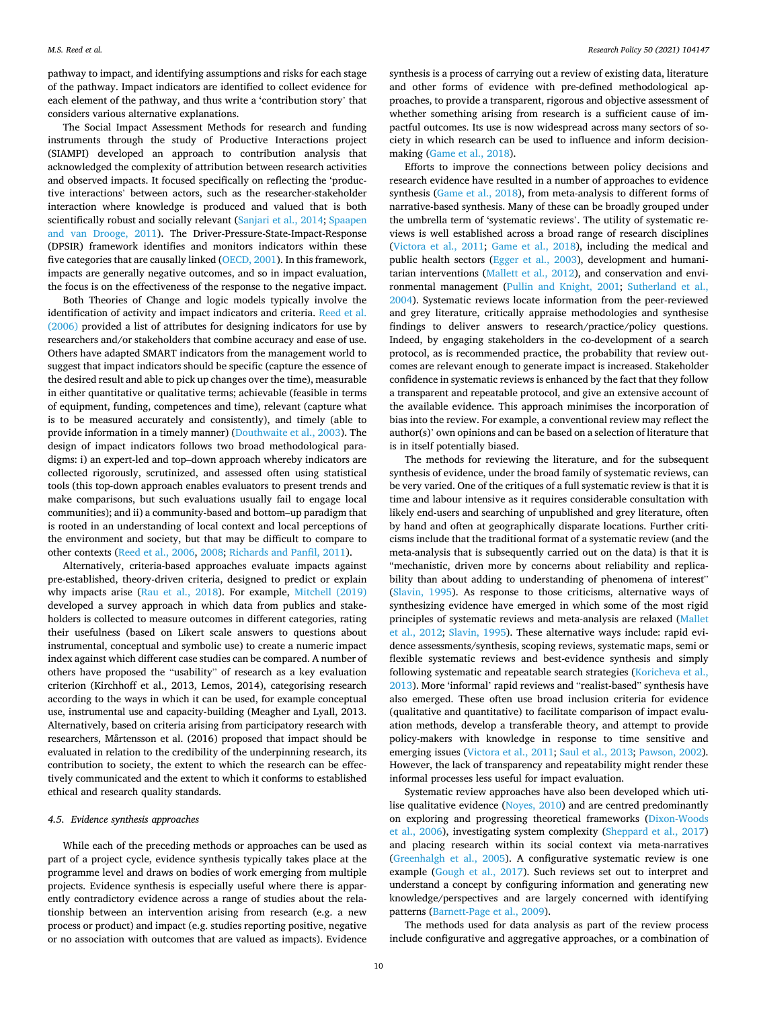<span id="page-10-0"></span>pathway to impact, and identifying assumptions and risks for each stage of the pathway. Impact indicators are identified to collect evidence for each element of the pathway, and thus write a 'contribution story' that considers various alternative explanations.

The Social Impact Assessment Methods for research and funding instruments through the study of Productive Interactions project (SIAMPI) developed an approach to contribution analysis that acknowledged the complexity of attribution between research activities and observed impacts. It focused specifically on reflecting the 'productive interactions' between actors, such as the researcher-stakeholder interaction where knowledge is produced and valued that is both scientifically robust and socially relevant ([Sanjari et al., 2014; Spaapen](#page-14-0)  [and van Drooge, 2011\)](#page-14-0). The Driver-Pressure-State-Impact-Response (DPSIR) framework identifies and monitors indicators within these five categories that are causally linked ([OECD, 2001\)](#page-14-0). In this framework, impacts are generally negative outcomes, and so in impact evaluation, the focus is on the effectiveness of the response to the negative impact.

Both Theories of Change and logic models typically involve the identification of activity and impact indicators and criteria. [Reed et al.](#page-14-0)  [\(2006\)](#page-14-0) provided a list of attributes for designing indicators for use by researchers and/or stakeholders that combine accuracy and ease of use. Others have adapted SMART indicators from the management world to suggest that impact indicators should be specific (capture the essence of the desired result and able to pick up changes over the time), measurable in either quantitative or qualitative terms; achievable (feasible in terms of equipment, funding, competences and time), relevant (capture what is to be measured accurately and consistently), and timely (able to provide information in a timely manner) [\(Douthwaite et al., 2003](#page-13-0)). The design of impact indicators follows two broad methodological paradigms: i) an expert-led and top–down approach whereby indicators are collected rigorously, scrutinized, and assessed often using statistical tools (this top-down approach enables evaluators to present trends and make comparisons, but such evaluations usually fail to engage local communities); and ii) a community-based and bottom–up paradigm that is rooted in an understanding of local context and local perceptions of the environment and society, but that may be difficult to compare to other contexts [\(Reed et al., 2006](#page-14-0), [2008; Richards and Panfil, 2011](#page-14-0)).

Alternatively, criteria-based approaches evaluate impacts against pre-established, theory-driven criteria, designed to predict or explain why impacts arise [\(Rau et al., 2018\)](#page-14-0). For example, [Mitchell \(2019\)](#page-13-0)  developed a survey approach in which data from publics and stakeholders is collected to measure outcomes in different categories, rating their usefulness (based on Likert scale answers to questions about instrumental, conceptual and symbolic use) to create a numeric impact index against which different case studies can be compared. A number of others have proposed the "usability" of research as a key evaluation criterion (Kirchhoff et al., 2013, Lemos, 2014), categorising research according to the ways in which it can be used, for example conceptual use, instrumental use and capacity-building (Meagher and Lyall, 2013. Alternatively, based on criteria arising from participatory research with researchers, Mårtensson et al. (2016) proposed that impact should be evaluated in relation to the credibility of the underpinning research, its contribution to society, the extent to which the research can be effectively communicated and the extent to which it conforms to established ethical and research quality standards.

#### *4.5. Evidence synthesis approaches*

While each of the preceding methods or approaches can be used as part of a project cycle, evidence synthesis typically takes place at the programme level and draws on bodies of work emerging from multiple projects. Evidence synthesis is especially useful where there is apparently contradictory evidence across a range of studies about the relationship between an intervention arising from research (e.g. a new process or product) and impact (e.g. studies reporting positive, negative or no association with outcomes that are valued as impacts). Evidence synthesis is a process of carrying out a review of existing data, literature and other forms of evidence with pre-defined methodological approaches, to provide a transparent, rigorous and objective assessment of whether something arising from research is a sufficient cause of impactful outcomes. Its use is now widespread across many sectors of society in which research can be used to influence and inform decisionmaking [\(Game et al., 2018](#page-13-0)).

Efforts to improve the connections between policy decisions and research evidence have resulted in a number of approaches to evidence synthesis [\(Game et al., 2018\)](#page-13-0), from meta-analysis to different forms of narrative-based synthesis. Many of these can be broadly grouped under the umbrella term of 'systematic reviews'. The utility of systematic reviews is well established across a broad range of research disciplines ([Victora et al., 2011](#page-14-0); [Game et al., 2018](#page-13-0)), including the medical and public health sectors [\(Egger et al., 2003](#page-13-0)), development and humanitarian interventions ([Mallett et al., 2012](#page-13-0)), and conservation and environmental management ([Pullin and Knight, 2001;](#page-14-0) [Sutherland et al.,](#page-14-0)  [2004\)](#page-14-0). Systematic reviews locate information from the peer-reviewed and grey literature, critically appraise methodologies and synthesise findings to deliver answers to research/practice/policy questions. Indeed, by engaging stakeholders in the co-development of a search protocol, as is recommended practice, the probability that review outcomes are relevant enough to generate impact is increased. Stakeholder confidence in systematic reviews is enhanced by the fact that they follow a transparent and repeatable protocol, and give an extensive account of the available evidence. This approach minimises the incorporation of bias into the review. For example, a conventional review may reflect the author(s)' own opinions and can be based on a selection of literature that is in itself potentially biased.

The methods for reviewing the literature, and for the subsequent synthesis of evidence, under the broad family of systematic reviews, can be very varied. One of the critiques of a full systematic review is that it is time and labour intensive as it requires considerable consultation with likely end-users and searching of unpublished and grey literature, often by hand and often at geographically disparate locations. Further criticisms include that the traditional format of a systematic review (and the meta-analysis that is subsequently carried out on the data) is that it is "mechanistic, driven more by concerns about reliability and replicability than about adding to understanding of phenomena of interest" ([Slavin, 1995\)](#page-14-0). As response to those criticisms, alternative ways of synthesizing evidence have emerged in which some of the most rigid principles of systematic reviews and meta-analysis are relaxed [\(Mallet](#page-13-0)  [et al., 2012](#page-13-0); [Slavin, 1995](#page-14-0)). These alternative ways include: rapid evidence assessments/synthesis, scoping reviews, systematic maps, semi or flexible systematic reviews and best-evidence synthesis and simply following systematic and repeatable search strategies ([Koricheva et al.,](#page-13-0)  [2013\)](#page-13-0). More 'informal' rapid reviews and "realist-based" synthesis have also emerged. These often use broad inclusion criteria for evidence (qualitative and quantitative) to facilitate comparison of impact evaluation methods, develop a transferable theory, and attempt to provide policy-makers with knowledge in response to time sensitive and emerging issues ([Victora et al., 2011;](#page-14-0) [Saul et al., 2013](#page-14-0); [Pawson, 2002](#page-14-0)). However, the lack of transparency and repeatability might render these informal processes less useful for impact evaluation.

Systematic review approaches have also been developed which utilise qualitative evidence ([Noyes, 2010](#page-14-0)) and are centred predominantly on exploring and progressing theoretical frameworks [\(Dixon-Woods](#page-13-0)  [et al., 2006](#page-13-0)), investigating system complexity ([Sheppard et al., 2017\)](#page-14-0) and placing research within its social context via meta-narratives ([Greenhalgh et al., 2005\)](#page-13-0). A configurative systematic review is one example ([Gough et al., 2017\)](#page-13-0). Such reviews set out to interpret and understand a concept by configuring information and generating new knowledge/perspectives and are largely concerned with identifying patterns ([Barnett-Page et al., 2009](#page-12-0)).

The methods used for data analysis as part of the review process include configurative and aggregative approaches, or a combination of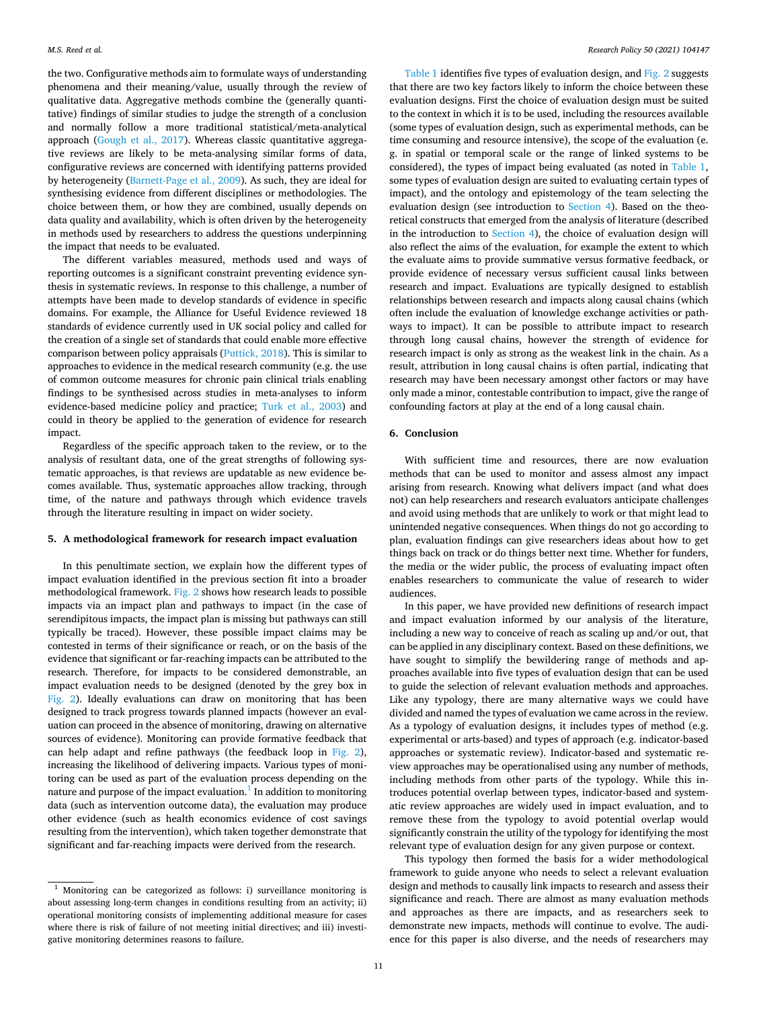the two. Configurative methods aim to formulate ways of understanding phenomena and their meaning/value, usually through the review of qualitative data. Aggregative methods combine the (generally quantitative) findings of similar studies to judge the strength of a conclusion and normally follow a more traditional statistical/meta-analytical approach ([Gough et al., 2017\)](#page-13-0). Whereas classic quantitative aggregative reviews are likely to be meta-analysing similar forms of data, configurative reviews are concerned with identifying patterns provided by heterogeneity [\(Barnett-Page et al., 2009](#page-12-0)). As such, they are ideal for synthesising evidence from different disciplines or methodologies. The choice between them, or how they are combined, usually depends on data quality and availability, which is often driven by the heterogeneity in methods used by researchers to address the questions underpinning the impact that needs to be evaluated.

The different variables measured, methods used and ways of reporting outcomes is a significant constraint preventing evidence synthesis in systematic reviews. In response to this challenge, a number of attempts have been made to develop standards of evidence in specific domains. For example, the Alliance for Useful Evidence reviewed 18 standards of evidence currently used in UK social policy and called for the creation of a single set of standards that could enable more effective comparison between policy appraisals [\(Puttick, 2018](#page-14-0)). This is similar to approaches to evidence in the medical research community (e.g. the use of common outcome measures for chronic pain clinical trials enabling findings to be synthesised across studies in meta-analyses to inform evidence-based medicine policy and practice; [Turk et al., 2003](#page-14-0)) and could in theory be applied to the generation of evidence for research impact.

Regardless of the specific approach taken to the review, or to the analysis of resultant data, one of the great strengths of following systematic approaches, is that reviews are updatable as new evidence becomes available. Thus, systematic approaches allow tracking, through time, of the nature and pathways through which evidence travels through the literature resulting in impact on wider society.

#### **5. A methodological framework for research impact evaluation**

In this penultimate section, we explain how the different types of impact evaluation identified in the previous section fit into a broader methodological framework. [Fig. 2](#page-12-0) shows how research leads to possible impacts via an impact plan and pathways to impact (in the case of serendipitous impacts, the impact plan is missing but pathways can still typically be traced). However, these possible impact claims may be contested in terms of their significance or reach, or on the basis of the evidence that significant or far-reaching impacts can be attributed to the research. Therefore, for impacts to be considered demonstrable, an impact evaluation needs to be designed (denoted by the grey box in [Fig. 2\)](#page-12-0). Ideally evaluations can draw on monitoring that has been designed to track progress towards planned impacts (however an evaluation can proceed in the absence of monitoring, drawing on alternative sources of evidence). Monitoring can provide formative feedback that can help adapt and refine pathways (the feedback loop in [Fig. 2](#page-12-0)), increasing the likelihood of delivering impacts. Various types of monitoring can be used as part of the evaluation process depending on the nature and purpose of the impact evaluation. $<sup>1</sup>$  In addition to monitoring</sup> data (such as intervention outcome data), the evaluation may produce other evidence (such as health economics evidence of cost savings resulting from the intervention), which taken together demonstrate that significant and far-reaching impacts were derived from the research.

[Table 1](#page-5-0) identifies five types of evaluation design, and [Fig. 2](#page-12-0) suggests that there are two key factors likely to inform the choice between these evaluation designs. First the choice of evaluation design must be suited to the context in which it is to be used, including the resources available (some types of evaluation design, such as experimental methods, can be time consuming and resource intensive), the scope of the evaluation (e. g. in spatial or temporal scale or the range of linked systems to be considered), the types of impact being evaluated (as noted in [Table 1](#page-5-0), some types of evaluation design are suited to evaluating certain types of impact), and the ontology and epistemology of the team selecting the evaluation design (see introduction to [Section 4\)](#page-4-0). Based on the theoretical constructs that emerged from the analysis of literature (described in the introduction to [Section 4\)](#page-4-0), the choice of evaluation design will also reflect the aims of the evaluation, for example the extent to which the evaluate aims to provide summative versus formative feedback, or provide evidence of necessary versus sufficient causal links between research and impact. Evaluations are typically designed to establish relationships between research and impacts along causal chains (which often include the evaluation of knowledge exchange activities or pathways to impact). It can be possible to attribute impact to research through long causal chains, however the strength of evidence for research impact is only as strong as the weakest link in the chain. As a result, attribution in long causal chains is often partial, indicating that research may have been necessary amongst other factors or may have only made a minor, contestable contribution to impact, give the range of confounding factors at play at the end of a long causal chain.

#### **6. Conclusion**

With sufficient time and resources, there are now evaluation methods that can be used to monitor and assess almost any impact arising from research. Knowing what delivers impact (and what does not) can help researchers and research evaluators anticipate challenges and avoid using methods that are unlikely to work or that might lead to unintended negative consequences. When things do not go according to plan, evaluation findings can give researchers ideas about how to get things back on track or do things better next time. Whether for funders, the media or the wider public, the process of evaluating impact often enables researchers to communicate the value of research to wider audiences.

In this paper, we have provided new definitions of research impact and impact evaluation informed by our analysis of the literature, including a new way to conceive of reach as scaling up and/or out, that can be applied in any disciplinary context. Based on these definitions, we have sought to simplify the bewildering range of methods and approaches available into five types of evaluation design that can be used to guide the selection of relevant evaluation methods and approaches. Like any typology, there are many alternative ways we could have divided and named the types of evaluation we came across in the review. As a typology of evaluation designs, it includes types of method (e.g. experimental or arts-based) and types of approach (e.g. indicator-based approaches or systematic review). Indicator-based and systematic review approaches may be operationalised using any number of methods, including methods from other parts of the typology. While this introduces potential overlap between types, indicator-based and systematic review approaches are widely used in impact evaluation, and to remove these from the typology to avoid potential overlap would significantly constrain the utility of the typology for identifying the most relevant type of evaluation design for any given purpose or context.

This typology then formed the basis for a wider methodological framework to guide anyone who needs to select a relevant evaluation design and methods to causally link impacts to research and assess their significance and reach. There are almost as many evaluation methods and approaches as there are impacts, and as researchers seek to demonstrate new impacts, methods will continue to evolve. The audience for this paper is also diverse, and the needs of researchers may

 $1$  Monitoring can be categorized as follows: i) surveillance monitoring is about assessing long-term changes in conditions resulting from an activity; ii) operational monitoring consists of implementing additional measure for cases where there is risk of failure of not meeting initial directives; and iii) investigative monitoring determines reasons to failure.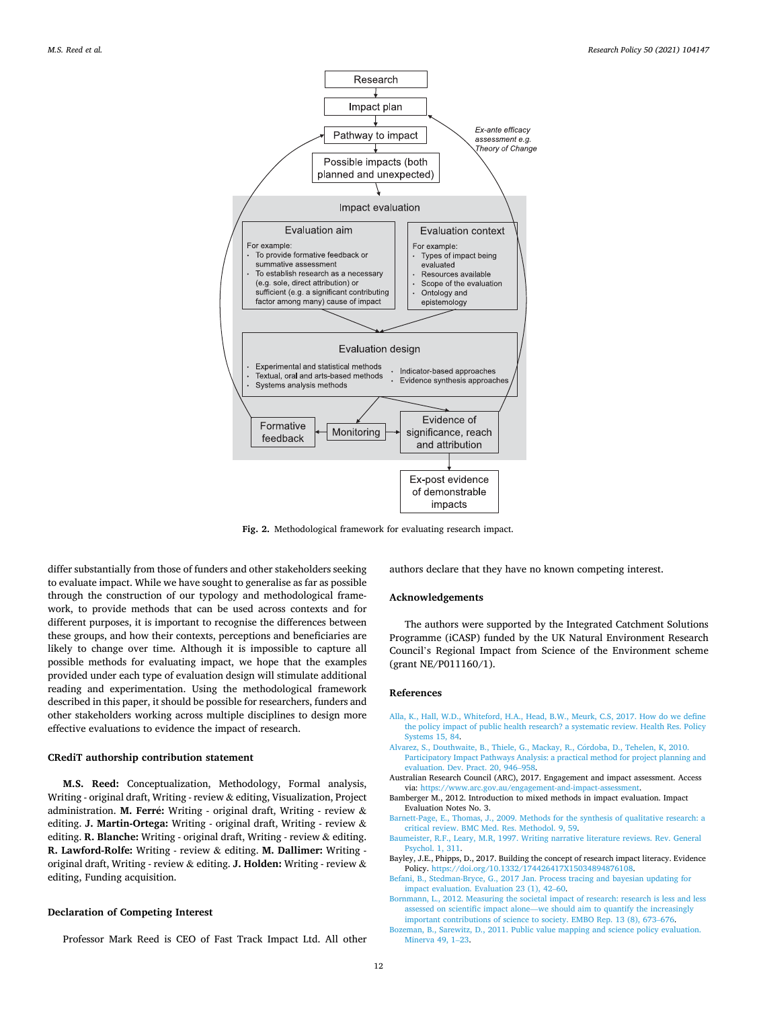<span id="page-12-0"></span>

**Fig. 2.** Methodological framework for evaluating research impact.

differ substantially from those of funders and other stakeholders seeking to evaluate impact. While we have sought to generalise as far as possible through the construction of our typology and methodological framework, to provide methods that can be used across contexts and for different purposes, it is important to recognise the differences between these groups, and how their contexts, perceptions and beneficiaries are likely to change over time. Although it is impossible to capture all possible methods for evaluating impact, we hope that the examples provided under each type of evaluation design will stimulate additional reading and experimentation. Using the methodological framework described in this paper, it should be possible for researchers, funders and other stakeholders working across multiple disciplines to design more effective evaluations to evidence the impact of research.

#### **CRediT authorship contribution statement**

**M.S. Reed:** Conceptualization, Methodology, Formal analysis, Writing - original draft, Writing - review & editing, Visualization, Project administration. M. Ferré: Writing - original draft, Writing - review & editing. **J. Martin-Ortega:** Writing - original draft, Writing - review & editing. **R. Blanche:** Writing - original draft, Writing - review & editing. **R. Lawford-Rolfe:** Writing - review & editing. **M. Dallimer:** Writing original draft, Writing - review & editing. **J. Holden:** Writing - review & editing, Funding acquisition.

#### **Declaration of Competing Interest**

Professor Mark Reed is CEO of Fast Track Impact Ltd. All other

authors declare that they have no known competing interest.

#### **Acknowledgements**

The authors were supported by the Integrated Catchment Solutions Programme (iCASP) funded by the UK Natural Environment Research Council's Regional Impact from Science of the Environment scheme (grant NE/P011160/1).

#### **References**

- [Alla, K., Hall, W.D., Whiteford, H.A., Head, B.W., Meurk, C.S, 2017. How do we define](http://refhub.elsevier.com/S0048-7333(20)30222-5/sbref0001)  [the policy impact of public health research? a systematic review. Health Res. Policy](http://refhub.elsevier.com/S0048-7333(20)30222-5/sbref0001)  [Systems 15, 84](http://refhub.elsevier.com/S0048-7333(20)30222-5/sbref0001).
- Alvarez, S., Douthwaite, B., Thiele, G., Mackay, R., Córdoba, D., Tehelen, K, 2010. [Participatory Impact Pathways Analysis: a practical method for project planning and](http://refhub.elsevier.com/S0048-7333(20)30222-5/sbref0002)  [evaluation. Dev. Pract. 20, 946](http://refhub.elsevier.com/S0048-7333(20)30222-5/sbref0002)–958.
- Australian Research Council (ARC), 2017. Engagement and impact assessment. Access via: <https://www.arc.gov.au/engagement-and-impact-assessment>.
- Bamberger M., 2012. Introduction to mixed methods in impact evaluation. Impact Evaluation Notes No. 3.
- [Barnett-Page, E., Thomas, J., 2009. Methods for the synthesis of qualitative research: a](http://refhub.elsevier.com/S0048-7333(20)30222-5/sbref0005) [critical review. BMC Med. Res. Methodol. 9, 59](http://refhub.elsevier.com/S0048-7333(20)30222-5/sbref0005).
- [Baumeister, R.F., Leary, M.R, 1997. Writing narrative literature reviews. Rev. General](http://refhub.elsevier.com/S0048-7333(20)30222-5/sbref0006) [Psychol. 1, 311](http://refhub.elsevier.com/S0048-7333(20)30222-5/sbref0006).
- Bayley, J.E., Phipps, D., 2017. Building the concept of research impact literacy. Evidence Policy. <https://doi.org/10.1332/174426417X15034894876108>.
- [Befani, B., Stedman-Bryce, G., 2017 Jan. Process tracing and bayesian updating for](http://refhub.elsevier.com/S0048-7333(20)30222-5/sbref0008) [impact evaluation. Evaluation 23 \(1\), 42](http://refhub.elsevier.com/S0048-7333(20)30222-5/sbref0008)–60.
- [Bornmann, L., 2012. Measuring the societal impact of research: research is less and less](http://refhub.elsevier.com/S0048-7333(20)30222-5/sbref0009)  assessed on scientific impact alone—[we should aim to quantify the increasingly](http://refhub.elsevier.com/S0048-7333(20)30222-5/sbref0009) [important contributions of science to society. EMBO Rep. 13 \(8\), 673](http://refhub.elsevier.com/S0048-7333(20)30222-5/sbref0009)–676.
- [Bozeman, B., Sarewitz, D., 2011. Public value mapping and science policy evaluation.](http://refhub.elsevier.com/S0048-7333(20)30222-5/sbref0011) [Minerva 49, 1](http://refhub.elsevier.com/S0048-7333(20)30222-5/sbref0011)–23.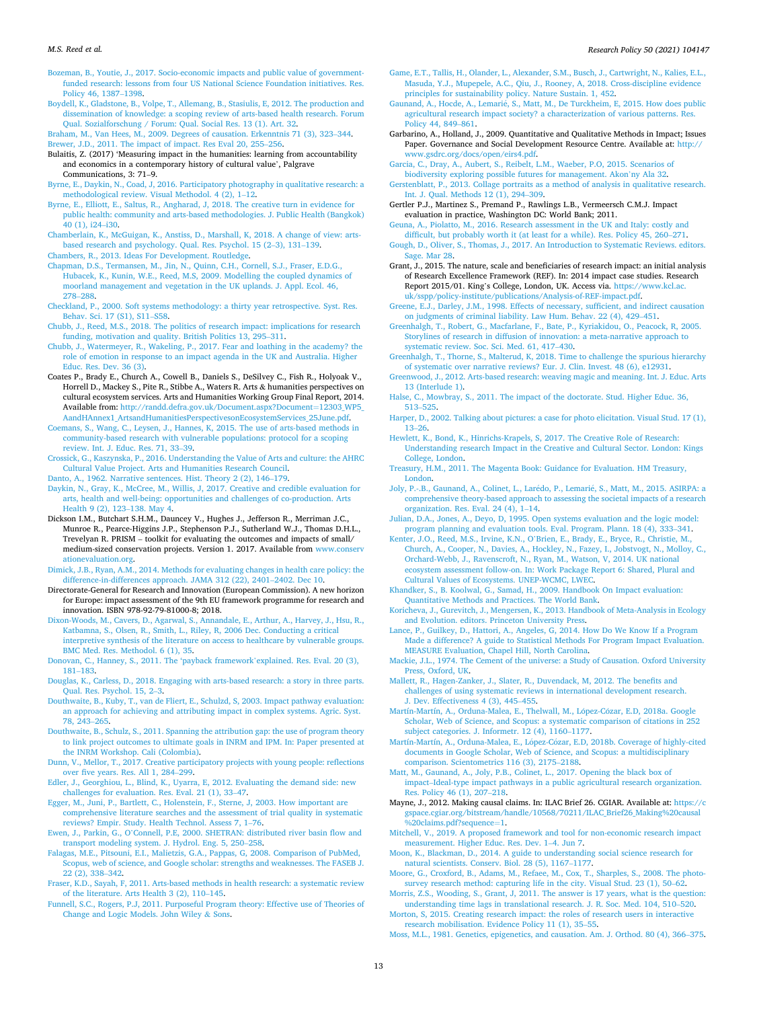<span id="page-13-0"></span>[Bozeman, B., Youtie, J., 2017. Socio-economic impacts and public value of government](http://refhub.elsevier.com/S0048-7333(20)30222-5/sbref0013)[funded research: lessons from four US National Science Foundation initiatives. Res.](http://refhub.elsevier.com/S0048-7333(20)30222-5/sbref0013)  [Policy 46, 1387](http://refhub.elsevier.com/S0048-7333(20)30222-5/sbref0013)–1398.

[Boydell, K., Gladstone, B., Volpe, T., Allemang, B., Stasiulis, E, 2012. The production and](http://refhub.elsevier.com/S0048-7333(20)30222-5/sbref0014)  [dissemination of knowledge: a scoping review of arts-based health research. Forum](http://refhub.elsevier.com/S0048-7333(20)30222-5/sbref0014)  [Qual. Sozialforschung / Forum: Qual. Social Res. 13 \(1\). Art. 32.](http://refhub.elsevier.com/S0048-7333(20)30222-5/sbref0014)

[Braham, M., Van Hees, M., 2009. Degrees of causation. Erkenntnis 71 \(3\), 323](http://refhub.elsevier.com/S0048-7333(20)30222-5/sbref0015)–344. [Brewer, J.D., 2011. The impact of impact. Res Eval 20, 255](http://refhub.elsevier.com/S0048-7333(20)30222-5/sbref0016)–256.

Bulaitis, Z. (2017) 'Measuring impact in the humanities: learning from accountability and economics in a contemporary history of cultural value', Palgrave Communications, 3: 71–9.

[Byrne, E., Daykin, N., Coad, J, 2016. Participatory photography in qualitative research: a](http://refhub.elsevier.com/S0048-7333(20)30222-5/sbref0019)  [methodological review. Visual Methodol. 4 \(2\), 1](http://refhub.elsevier.com/S0048-7333(20)30222-5/sbref0019)–12.

- [Byrne, E., Elliott, E., Saltus, R., Angharad, J, 2018. The creative turn in evidence for](http://refhub.elsevier.com/S0048-7333(20)30222-5/sbref0020) [public health: community and arts-based methodologies. J. Public Health \(Bangkok\)](http://refhub.elsevier.com/S0048-7333(20)30222-5/sbref0020)  [40 \(1\), i24](http://refhub.elsevier.com/S0048-7333(20)30222-5/sbref0020)–i30.
- [Chamberlain, K., McGuigan, K., Anstiss, D., Marshall, K, 2018. A change of view: arts](http://refhub.elsevier.com/S0048-7333(20)30222-5/sbref0023)[based research and psychology. Qual. Res. Psychol. 15 \(2](http://refhub.elsevier.com/S0048-7333(20)30222-5/sbref0023)–3), 131–139.

[Chambers, R., 2013. Ideas For Development. Routledge.](http://refhub.elsevier.com/S0048-7333(20)30222-5/sbref0024)

[Chapman, D.S., Termansen, M., Jin, N., Quinn, C.H., Cornell, S.J., Fraser, E.D.G.,](http://refhub.elsevier.com/S0048-7333(20)30222-5/sbref0025) [Hubacek, K., Kunin, W.E., Reed, M.S, 2009. Modelling the coupled dynamics of](http://refhub.elsevier.com/S0048-7333(20)30222-5/sbref0025)  [moorland management and vegetation in the UK uplands. J. Appl. Ecol. 46,](http://refhub.elsevier.com/S0048-7333(20)30222-5/sbref0025) 278–[288](http://refhub.elsevier.com/S0048-7333(20)30222-5/sbref0025).

- [Checkland, P., 2000. Soft systems methodology: a thirty year retrospective. Syst. Res.](http://refhub.elsevier.com/S0048-7333(20)30222-5/sbref0026)  [Behav. Sci. 17 \(S1\), S11](http://refhub.elsevier.com/S0048-7333(20)30222-5/sbref0026)–S58.
- [Chubb, J., Reed, M.S., 2018. The politics of research impact: implications for research](http://refhub.elsevier.com/S0048-7333(20)30222-5/sbref0027)  [funding, motivation and quality. British Politics 13, 295](http://refhub.elsevier.com/S0048-7333(20)30222-5/sbref0027)–311.
- [Chubb, J., Watermeyer, R., Wakeling, P., 2017. Fear and loathing in the academy? the](http://refhub.elsevier.com/S0048-7333(20)30222-5/sbref0028) [role of emotion in response to an impact agenda in the UK and Australia. Higher](http://refhub.elsevier.com/S0048-7333(20)30222-5/sbref0028) [Educ. Res. Dev. 36 \(3\).](http://refhub.elsevier.com/S0048-7333(20)30222-5/sbref0028)
- Coates P., Brady E., Church A., Cowell B., Daniels S., DeSilvey C., Fish R., Holyoak V., Horrell D., Mackey S., Pite R., Stibbe A., Waters R. Arts & humanities perspectives on cultural ecosystem services. Arts and Humanities Working Group Final Report, 2014. Available from: [http://randd.defra.gov.uk/Document.aspx?Document](http://randd.defra.gov.uk/Document.aspx?Document=12303_WP5_AandHAnnex1_ArtsandHumanitiesPerspectivesonEcosystemServices_25June.pdf)=12303\_WP5\_ [AandHAnnex1\\_ArtsandHumanitiesPerspectivesonEcosystemServices\\_25June.pdf.](http://randd.defra.gov.uk/Document.aspx?Document=12303_WP5_AandHAnnex1_ArtsandHumanitiesPerspectivesonEcosystemServices_25June.pdf)

[Coemans, S., Wang, C., Leysen, J., Hannes, K, 2015. The use of arts-based methods in](http://refhub.elsevier.com/S0048-7333(20)30222-5/sbref0030)  [community-based research with vulnerable populations: protocol for a scoping](http://refhub.elsevier.com/S0048-7333(20)30222-5/sbref0030) [review. Int. J. Educ. Res. 71, 33](http://refhub.elsevier.com/S0048-7333(20)30222-5/sbref0030)–39.

[Crossick, G., Kaszynska, P., 2016. Understanding the Value of Arts and culture: the AHRC](http://refhub.elsevier.com/S0048-7333(20)30222-5/sbref0031)  [Cultural Value Project. Arts and Humanities Research Council](http://refhub.elsevier.com/S0048-7333(20)30222-5/sbref0031).

- [Danto, A., 1962. Narrative sentences. Hist. Theory 2 \(2\), 146](http://refhub.elsevier.com/S0048-7333(20)30222-5/sbref0032)–179. [Daykin, N., Gray, K., McCree, M., Willis, J, 2017. Creative and credible evaluation for](http://refhub.elsevier.com/S0048-7333(20)30222-5/sbref0033)  [arts, health and well-being: opportunities and challenges of co-production. Arts](http://refhub.elsevier.com/S0048-7333(20)30222-5/sbref0033) [Health 9 \(2\), 123](http://refhub.elsevier.com/S0048-7333(20)30222-5/sbref0033)–138. May 4.
- Dickson I.M., Butchart S.H.M., Dauncey V., Hughes J., Jefferson R., Merriman J.C., Munroe R., Pearce-Higgins J.P., Stephenson P.J., Sutherland W.J., Thomas D.H.L., Trevelyan R. PRISM – toolkit for evaluating the outcomes and impacts of small/ medium-sized conservation projects. Version 1. 2017. Available from [www.conserv](http://www.conservationevaluation.org)  [ationevaluation.org.](http://www.conservationevaluation.org)

[Dimick, J.B., Ryan, A.M., 2014. Methods for evaluating changes in health care policy: the](http://refhub.elsevier.com/S0048-7333(20)30222-5/sbref0035)  [difference-in-differences approach. JAMA 312 \(22\), 2401](http://refhub.elsevier.com/S0048-7333(20)30222-5/sbref0035)–2402. Dec 10.

- Directorate-General for Research and Innovation (European Commission). A new horizon for Europe: impact assessment of the 9th EU framework programme for research and innovation. ISBN 978-92-79-81000-8; 2018.
- [Dixon-Woods, M., Cavers, D., Agarwal, S., Annandale, E., Arthur, A., Harvey, J., Hsu, R.,](http://refhub.elsevier.com/S0048-7333(20)30222-5/sbref0037)  [Katbamna, S., Olsen, R., Smith, L., Riley, R, 2006 Dec. Conducting a critical](http://refhub.elsevier.com/S0048-7333(20)30222-5/sbref0037)  [interpretive synthesis of the literature on access to healthcare by vulnerable groups.](http://refhub.elsevier.com/S0048-7333(20)30222-5/sbref0037)  [BMC Med. Res. Methodol. 6 \(1\), 35](http://refhub.elsevier.com/S0048-7333(20)30222-5/sbref0037).
- [Donovan, C., Hanney, S., 2011. The 'payback framework](http://refhub.elsevier.com/S0048-7333(20)30222-5/sbref0038)'explained. Res. Eval. 20 (3), 181–[183](http://refhub.elsevier.com/S0048-7333(20)30222-5/sbref0038).
- [Douglas, K., Carless, D., 2018. Engaging with arts-based research: a story in three parts.](http://refhub.elsevier.com/S0048-7333(20)30222-5/sbref0039)  [Qual. Res. Psychol. 15, 2](http://refhub.elsevier.com/S0048-7333(20)30222-5/sbref0039)–3.
- [Douthwaite, B., Kuby, T., van de Fliert, E., Schulzd, S, 2003. Impact pathway evaluation:](http://refhub.elsevier.com/S0048-7333(20)30222-5/sbref0040)  [an approach for achieving and attributing impact in complex systems. Agric. Syst.](http://refhub.elsevier.com/S0048-7333(20)30222-5/sbref0040)  [78, 243](http://refhub.elsevier.com/S0048-7333(20)30222-5/sbref0040)–265.

[Douthwaite, B., Schulz, S., 2011. Spanning the attribution gap: the use of program theory](http://refhub.elsevier.com/S0048-7333(20)30222-5/sbref0041)  [to link project outcomes to ultimate goals in INRM and IPM. In: Paper presented at](http://refhub.elsevier.com/S0048-7333(20)30222-5/sbref0041)  [the INRM Workshop. Cali \(Colombia\).](http://refhub.elsevier.com/S0048-7333(20)30222-5/sbref0041)

[Dunn, V., Mellor, T., 2017. Creative participatory projects with young people: reflections](http://refhub.elsevier.com/S0048-7333(20)30222-5/sbref0042)  [over five years. Res. All 1, 284](http://refhub.elsevier.com/S0048-7333(20)30222-5/sbref0042)–299.

[Edler, J., Georghiou, L., Blind, K., Uyarra, E, 2012. Evaluating the demand side: new](http://refhub.elsevier.com/S0048-7333(20)30222-5/sbref0044) [challenges for evaluation. Res. Eval. 21 \(1\), 33](http://refhub.elsevier.com/S0048-7333(20)30222-5/sbref0044)–47.

[Egger, M., Juni, P., Bartlett, C., Holenstein, F., Sterne, J, 2003. How important are](http://refhub.elsevier.com/S0048-7333(20)30222-5/sbref0045)  [comprehensive literature searches and the assessment of trial quality in systematic](http://refhub.elsevier.com/S0048-7333(20)30222-5/sbref0045)  [reviews? Empir. Study. Health Technol. Assess 7, 1](http://refhub.elsevier.com/S0048-7333(20)30222-5/sbref0045)–76.

Ewen, J., Parkin, G., O'[Connell, P.E, 2000. SHETRAN: distributed river basin flow and](http://refhub.elsevier.com/S0048-7333(20)30222-5/sbref0046)  [transport modeling system. J. Hydrol. Eng. 5, 250](http://refhub.elsevier.com/S0048-7333(20)30222-5/sbref0046)–258.

[Falagas, M.E., Pitsouni, E.I., Malietzis, G.A., Pappas, G, 2008. Comparison of PubMed,](http://refhub.elsevier.com/S0048-7333(20)30222-5/sbref0047)  [Scopus, web of science, and Google scholar: strengths and weaknesses. The FASEB J.](http://refhub.elsevier.com/S0048-7333(20)30222-5/sbref0047)  [22 \(2\), 338](http://refhub.elsevier.com/S0048-7333(20)30222-5/sbref0047)–342.

[Fraser, K.D., Sayah, F, 2011. Arts-based methods in health research: a systematic review](http://refhub.elsevier.com/S0048-7333(20)30222-5/sbref0048)  [of the literature. Arts Health 3 \(2\), 110](http://refhub.elsevier.com/S0048-7333(20)30222-5/sbref0048)–145.

[Funnell, S.C., Rogers, P.J, 2011. Purposeful Program theory: Effective use of Theories of](http://refhub.elsevier.com/S0048-7333(20)30222-5/sbref0049)  [Change and Logic Models. John Wiley](http://refhub.elsevier.com/S0048-7333(20)30222-5/sbref0049) & Sons.

- [Game, E.T., Tallis, H., Olander, L., Alexander, S.M., Busch, J., Cartwright, N., Kalies, E.L.,](http://refhub.elsevier.com/S0048-7333(20)30222-5/sbref0050)  [Masuda, Y.J., Mupepele, A.C., Qiu, J., Rooney, A, 2018. Cross-discipline evidence](http://refhub.elsevier.com/S0048-7333(20)30222-5/sbref0050)  [principles for sustainability policy. Nature Sustain. 1, 452](http://refhub.elsevier.com/S0048-7333(20)30222-5/sbref0050).
- Gaunand, A., Hocde, A., Lemarié, S., Matt, M., De Turckheim, E, 2015. How does public [agricultural research impact society? a characterization of various patterns. Res.](http://refhub.elsevier.com/S0048-7333(20)30222-5/sbref0051)  [Policy 44, 849](http://refhub.elsevier.com/S0048-7333(20)30222-5/sbref0051)–861.

Garbarino, A., Holland, J., 2009. Quantitative and Qualitative Methods in Impact; Issues Paper. Governance and Social Development Resource Centre. Available at: [http://](http://www.gsdrc.org/docs/open/eirs4.pdf)  [www.gsdrc.org/docs/open/eirs4.pdf.](http://www.gsdrc.org/docs/open/eirs4.pdf)

[Garcia, C., Dray, A., Aubert, S., Reibelt, L.M., Waeber, P.O, 2015. Scenarios of](http://refhub.elsevier.com/S0048-7333(20)30222-5/sbref0053)

[biodiversity exploring possible futures for management. Akon](http://refhub.elsevier.com/S0048-7333(20)30222-5/sbref0053)'ny Ala 32. [Gerstenblatt, P., 2013. Collage portraits as a method of analysis in qualitative research.](http://refhub.elsevier.com/S0048-7333(20)30222-5/sbref0054)  [Int. J. Qual. Methods 12 \(1\), 294](http://refhub.elsevier.com/S0048-7333(20)30222-5/sbref0054)–309.

Gertler P.J., Martinez S., Premand P., Rawlings L.B., Vermeersch C.M.J. Impact evaluation in practice, Washington DC: World Bank; 2011.

[Geuna, A., Piolatto, M., 2016. Research assessment in the UK and Italy: costly and](http://refhub.elsevier.com/S0048-7333(20)30222-5/sbref0056) [difficult, but probably worth it \(at least for a while\). Res. Policy 45, 260](http://refhub.elsevier.com/S0048-7333(20)30222-5/sbref0056)–271.

- [Gough, D., Oliver, S., Thomas, J., 2017. An Introduction to Systematic Reviews. editors.](http://refhub.elsevier.com/S0048-7333(20)30222-5/sbref0058)  [Sage. Mar 28](http://refhub.elsevier.com/S0048-7333(20)30222-5/sbref0058).
- Grant, J., 2015. The nature, scale and beneficiaries of research impact: an initial analysis of Research Excellence Framework (REF). In: 2014 impact case studies. Research Report 2015/01. King's College, London, UK. Access via. [https://www.kcl.ac.](https://www.kcl.ac.uk/sspp/policy-institute/publications/Analysis-of-REF-impact.pdf) [uk/sspp/policy-institute/publications/Analysis-of-REF-impact.pdf](https://www.kcl.ac.uk/sspp/policy-institute/publications/Analysis-of-REF-impact.pdf).

[Greene, E.J., Darley, J.M., 1998. Effects of necessary, sufficient, and indirect causation](http://refhub.elsevier.com/S0048-7333(20)30222-5/sbref0060) [on judgments of criminal liability. Law Hum. Behav. 22 \(4\), 429](http://refhub.elsevier.com/S0048-7333(20)30222-5/sbref0060)–451.

- [Greenhalgh, T., Robert, G., Macfarlane, F., Bate, P., Kyriakidou, O., Peacock, R, 2005.](http://refhub.elsevier.com/S0048-7333(20)30222-5/sbref0061) [Storylines of research in diffusion of innovation: a meta-narrative approach to](http://refhub.elsevier.com/S0048-7333(20)30222-5/sbref0061)  [systematic review. Soc. Sci. Med. 61, 417](http://refhub.elsevier.com/S0048-7333(20)30222-5/sbref0061)–430.
- [Greenhalgh, T., Thorne, S., Malterud, K, 2018. Time to challenge the spurious hierarchy](http://refhub.elsevier.com/S0048-7333(20)30222-5/sbref0062)  [of systematic over narrative reviews? Eur. J. Clin. Invest. 48 \(6\), e12931.](http://refhub.elsevier.com/S0048-7333(20)30222-5/sbref0062)
- [Greenwood, J., 2012. Arts-based research: weaving magic and meaning. Int. J. Educ. Arts](http://refhub.elsevier.com/S0048-7333(20)30222-5/sbref0063)  [13 \(Interlude 1\)](http://refhub.elsevier.com/S0048-7333(20)30222-5/sbref0063).
- [Halse, C., Mowbray, S., 2011. The impact of the doctorate. Stud. Higher Educ. 36,](http://refhub.elsevier.com/S0048-7333(20)30222-5/sbref0065)  513–[525](http://refhub.elsevier.com/S0048-7333(20)30222-5/sbref0065).
- [Harper, D., 2002. Talking about pictures: a case for photo elicitation. Visual Stud. 17 \(1\),](http://refhub.elsevier.com/S0048-7333(20)30222-5/sbref0066)  13–[26](http://refhub.elsevier.com/S0048-7333(20)30222-5/sbref0066).
- [Hewlett, K., Bond, K., Hinrichs-Krapels, S, 2017. The Creative Role of Research:](http://refhub.elsevier.com/S0048-7333(20)30222-5/sbref0067)  [Understanding research Impact in the Creative and Cultural Sector. London: Kings](http://refhub.elsevier.com/S0048-7333(20)30222-5/sbref0067) [College, London](http://refhub.elsevier.com/S0048-7333(20)30222-5/sbref0067).

[Treasury, H.M., 2011. The Magenta Book: Guidance for Evaluation. HM Treasury,](http://refhub.elsevier.com/S0048-7333(20)30222-5/sbref0069)  [London.](http://refhub.elsevier.com/S0048-7333(20)30222-5/sbref0069)

- [Joly, P.-.B., Gaunand, A., Colinet, L., Lar](http://refhub.elsevier.com/S0048-7333(20)30222-5/sbref0070)édo, P., Lemarié, S., Matt, M., 2015. ASIRPA: a [comprehensive theory-based approach to assessing the societal impacts of a research](http://refhub.elsevier.com/S0048-7333(20)30222-5/sbref0070)  [organization. Res. Eval. 24 \(4\), 1](http://refhub.elsevier.com/S0048-7333(20)30222-5/sbref0070)–14.
- [Julian, D.A., Jones, A., Deyo, D, 1995. Open systems evaluation and the logic model:](http://refhub.elsevier.com/S0048-7333(20)30222-5/sbref0072) [program planning and evaluation tools. Eval. Program. Plann. 18 \(4\), 333](http://refhub.elsevier.com/S0048-7333(20)30222-5/sbref0072)–341.
- Kenter, J.O., Reed, M.S., Irvine, K.N., O'[Brien, E., Brady, E., Bryce, R., Christie, M.,](http://refhub.elsevier.com/S0048-7333(20)30222-5/sbref0073)  [Church, A., Cooper, N., Davies, A., Hockley, N., Fazey, I., Jobstvogt, N., Molloy, C.,](http://refhub.elsevier.com/S0048-7333(20)30222-5/sbref0073)  [Orchard-Webb, J., Ravenscroft, N., Ryan, M., Watson, V, 2014. UK national](http://refhub.elsevier.com/S0048-7333(20)30222-5/sbref0073)  [ecosystem assessment follow-on. In: Work Package Report 6: Shared, Plural and](http://refhub.elsevier.com/S0048-7333(20)30222-5/sbref0073)  [Cultural Values of Ecosystems. UNEP-WCMC, LWEC.](http://refhub.elsevier.com/S0048-7333(20)30222-5/sbref0073)
- [Khandker, S., B. Koolwal, G., Samad, H., 2009. Handbook On Impact evaluation:](http://refhub.elsevier.com/S0048-7333(20)30222-5/sbref0074)  [Quantitative Methods and Practices. The World Bank](http://refhub.elsevier.com/S0048-7333(20)30222-5/sbref0074).
- [Koricheva, J., Gurevitch, J., Mengersen, K., 2013. Handbook of Meta-Analysis in Ecology](http://refhub.elsevier.com/S0048-7333(20)30222-5/sbref0075)  [and Evolution. editors. Princeton University Press](http://refhub.elsevier.com/S0048-7333(20)30222-5/sbref0075).
- [Lance, P., Guilkey, D., Hattori, A., Angeles, G, 2014. How Do We Know If a Program](http://refhub.elsevier.com/S0048-7333(20)30222-5/sbref0076) [Made a difference? A guide to Statistical Methods For Program Impact Evaluation.](http://refhub.elsevier.com/S0048-7333(20)30222-5/sbref0076) [MEASURE Evaluation, Chapel Hill, North Carolina.](http://refhub.elsevier.com/S0048-7333(20)30222-5/sbref0076)
- [Mackie, J.L., 1974. The Cement of the universe: a Study of Causation. Oxford University](http://refhub.elsevier.com/S0048-7333(20)30222-5/sbref0077)  [Press, Oxford, UK.](http://refhub.elsevier.com/S0048-7333(20)30222-5/sbref0077)
- [Mallett, R., Hagen-Zanker, J., Slater, R., Duvendack, M, 2012. The benefits and](http://refhub.elsevier.com/S0048-7333(20)30222-5/sbref0078) [challenges of using systematic reviews in international development research.](http://refhub.elsevier.com/S0048-7333(20)30222-5/sbref0078)  [J. Dev. Effectiveness 4 \(3\), 445](http://refhub.elsevier.com/S0048-7333(20)30222-5/sbref0078)–455.
- Martín-Martín, A., Orduna-Malea, E., Thelwall, M., López-Cózar, E.D, 2018a. Google [Scholar, Web of Science, and Scopus: a systematic comparison of citations in 252](http://refhub.elsevier.com/S0048-7333(20)30222-5/sbref0079)  [subject categories. J. Informetr. 12 \(4\), 1160](http://refhub.elsevier.com/S0048-7333(20)30222-5/sbref0079)–1177.
- Martín-Martín, A., Orduna-Malea, E., López-Cózar, E.D, 2018b. Coverage of highly-cited [documents in Google Scholar, Web of Science, and Scopus: a multidisciplinary](http://refhub.elsevier.com/S0048-7333(20)30222-5/sbref0080)  [comparison. Scientometrics 116 \(3\), 2175](http://refhub.elsevier.com/S0048-7333(20)30222-5/sbref0080)–2188.
- [Matt, M., Gaunand, A., Joly, P.B., Colinet, L., 2017. Opening the black box of](http://refhub.elsevier.com/S0048-7333(20)30222-5/sbref0081)  impact–[Ideal-type impact pathways in a public agricultural research organization.](http://refhub.elsevier.com/S0048-7333(20)30222-5/sbref0081)  [Res. Policy 46 \(1\), 207](http://refhub.elsevier.com/S0048-7333(20)30222-5/sbref0081)–218.
- Mayne, J., 2012. Making causal claims. In: ILAC Brief 26. CGIAR. Available at: [https://c](https://cgspace.cgiar.org/bitstream/handle/10568/70211/ILAC_Brief26_Making%20causal%20claims.pdf?sequence=1)  [gspace.cgiar.org/bitstream/handle/10568/70211/ILAC\\_Brief26\\_Making%20causal](https://cgspace.cgiar.org/bitstream/handle/10568/70211/ILAC_Brief26_Making%20causal%20claims.pdf?sequence=1)  [%20claims.pdf?sequence](https://cgspace.cgiar.org/bitstream/handle/10568/70211/ILAC_Brief26_Making%20causal%20claims.pdf?sequence=1)=1.
- [Mitchell, V., 2019. A proposed framework and tool for non-economic research impact](http://refhub.elsevier.com/S0048-7333(20)30222-5/sbref0083)  [measurement. Higher Educ. Res. Dev. 1](http://refhub.elsevier.com/S0048-7333(20)30222-5/sbref0083)–4. Jun 7.
- [Moon, K., Blackman, D., 2014. A guide to understanding social science research for](http://refhub.elsevier.com/S0048-7333(20)30222-5/sbref0084) [natural scientists. Conserv. Biol. 28 \(5\), 1167](http://refhub.elsevier.com/S0048-7333(20)30222-5/sbref0084)–1177.
- [Moore, G., Croxford, B., Adams, M., Refaee, M., Cox, T., Sharples, S., 2008. The photo](http://refhub.elsevier.com/S0048-7333(20)30222-5/sbref0085)[survey research method: capturing life in the city. Visual Stud. 23 \(1\), 50](http://refhub.elsevier.com/S0048-7333(20)30222-5/sbref0085)–62.

[Morris, Z.S., Wooding, S., Grant, J, 2011. The answer is 17 years, what is the question:](http://refhub.elsevier.com/S0048-7333(20)30222-5/sbref0086)  [understanding time lags in translational research. J. R. Soc. Med. 104, 510](http://refhub.elsevier.com/S0048-7333(20)30222-5/sbref0086)–520. [Morton, S, 2015. Creating research impact: the roles of research users in interactive](http://refhub.elsevier.com/S0048-7333(20)30222-5/sbref0087)

[research mobilisation. Evidence Policy 11 \(1\), 35](http://refhub.elsevier.com/S0048-7333(20)30222-5/sbref0087)–55.